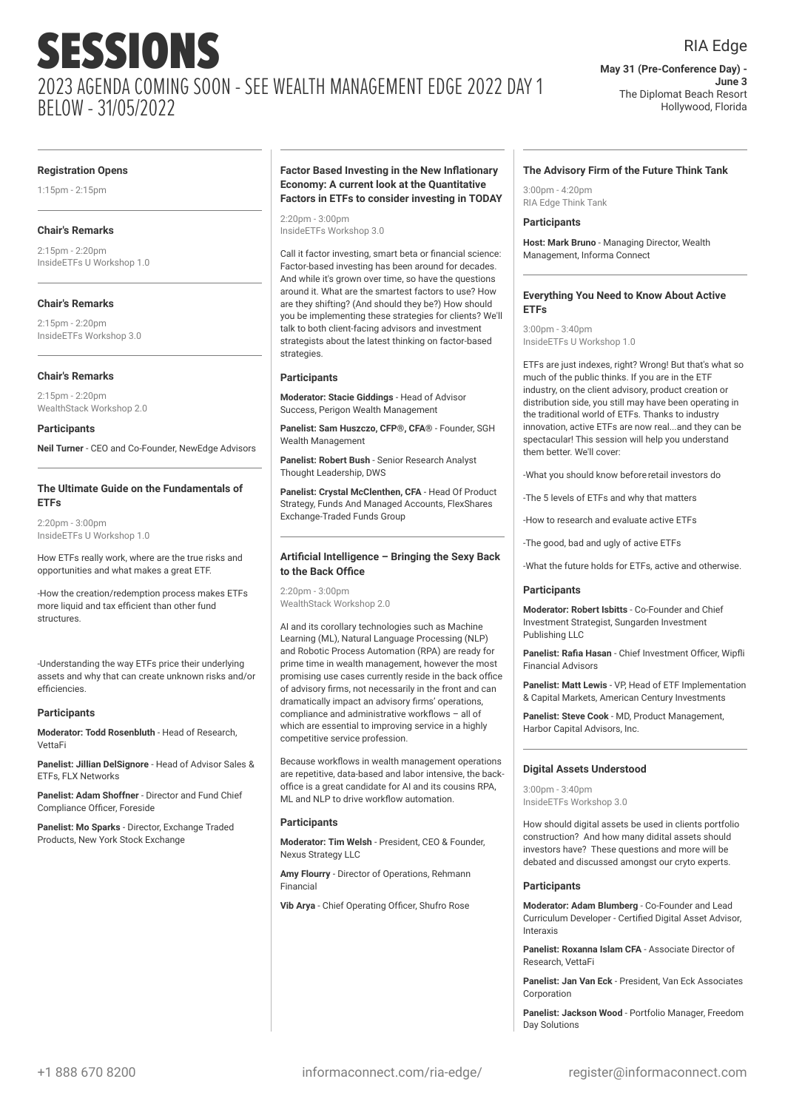#### RIA Edge

**May 31 (Pre-Conference Day) - June 3** The Diplomat Beach Resort Hollywood, Florida

#### **Registration Opens**

1:15pm - 2:15pm

#### **Chair's Remarks**

2:15pm - 2:20pm InsideETFs U Workshop 1.0

#### **Chair's Remarks**

2:15pm - 2:20pm InsideETFs Workshop 3.0

#### **Chair's Remarks**

2:15pm - 2:20pm WealthStack Workshop 2.0

#### **Participants**

**Neil Turner** - CEO and Co-Founder, NewEdge Advisors

#### **The Ultimate Guide on the Fundamentals of ETFs**

2:20pm - 3:00pm InsideETFs U Workshop 1.0

How ETFs really work, where are the true risks and opportunities and what makes a great ETF.

-How the creation/redemption process makes ETFs more liquid and tax efficient than other fund structures.

-Understanding the way ETFs price their underlying assets and why that can create unknown risks and/or efficiencies.

#### **Participants**

**Moderator: Todd Rosenbluth** - Head of Research, VettaFi

**Panelist: Jillian DelSignore** - Head of Advisor Sales & ETFs, FLX Networks

**Panelist: Adam Shoffner** - Director and Fund Chief Compliance Officer, Foreside

**Panelist: Mo Sparks** - Director, Exchange Traded Products, New York Stock Exchange

#### **Factor Based Investing in the New Inflationary Economy: A current look at the Quantitative Factors in ETFs to consider investing in TODAY**

2:20pm - 3:00pm InsideETFs Workshop 3.0

Call it factor investing, smart beta or financial science: Factor-based investing has been around for decades. And while it's grown over time, so have the questions around it. What are the smartest factors to use? How are they shifting? (And should they be?) How should you be implementing these strategies for clients? We'll talk to both client-facing advisors and investment strategists about the latest thinking on factor-based strategies.

#### **Participants**

**Moderator: Stacie Giddings** - Head of Advisor Success, Perigon Wealth Management

**Panelist: Sam Huszczo, CFP®, CFA®** - Founder, SGH Wealth Management

**Panelist: Robert Bush** - Senior Research Analyst Thought Leadership, DWS

**Panelist: Crystal McClenthen, CFA** - Head Of Product Strategy, Funds And Managed Accounts, FlexShares Exchange-Traded Funds Group

#### **Artificial Intelligence – Bringing the Sexy Back to the Back Office**

2:20pm - 3:00pm WealthStack Workshop 2.0

AI and its corollary technologies such as Machine Learning (ML), Natural Language Processing (NLP) and Robotic Process Automation (RPA) are ready for prime time in wealth management, however the most promising use cases currently reside in the back office of advisory firms, not necessarily in the front and can dramatically impact an advisory firms' operations, compliance and administrative workflows – all of which are essential to improving service in a highly competitive service profession.

Because workflows in wealth management operations are repetitive, data-based and labor intensive, the backoffice is a great candidate for AI and its cousins RPA, ML and NLP to drive workflow automation.

#### **Participants**

**Moderator: Tim Welsh** - President, CEO & Founder, Nexus Strategy LLC

**Amy Flourry** - Director of Operations, Rehmann Financial

**Vib Arya** - Chief Operating Officer, Shufro Rose

#### **The Advisory Firm of the Future Think Tank**

 $3:00$ pm - 4:20pm RIA Edge Think Tank

#### **Participants**

**Host: Mark Bruno** - Managing Director, Wealth Management, Informa Connect

#### **Everything You Need to Know About Active ETFs**

 $3:00$ pm -  $3:40$ pm InsideETFs U Workshop 1.0

ETFs are just indexes, right? Wrong! But that's what so much of the public thinks. If you are in the ETF industry, on the client advisory, product creation or distribution side, you still may have been operating in the traditional world of ETFs. Thanks to industry innovation, active ETFs are now real...and they can be spectacular! This session will help you understand them better. We'll cover:

-What you should know beforeretail investors do

-The 5 levels of ETFs and why that matters

-How to research and evaluate active ETFs

-The good, bad and ugly of active ETFs

-What the future holds for ETFs, active and otherwise.

#### **Participants**

**Moderator: Robert Isbitts** - Co-Founder and Chief Investment Strategist, Sungarden Investment Publishing LLC

**Panelist: Rafia Hasan** - Chief Investment Officer, Wipfli Financial Advisors

**Panelist: Matt Lewis** - VP, Head of ETF Implementation & Capital Markets, American Century Investments

**Panelist: Steve Cook** - MD, Product Management, Harbor Capital Advisors, Inc.

#### **Digital Assets Understood**

3:00pm - 3:40pm InsideETFs Workshop 3.0

How should digital assets be used in clients portfolio construction? And how many didital assets should investors have? These questions and more will be debated and discussed amongst our cryto experts.

#### **Participants**

**Moderator: Adam Blumberg** - Co-Founder and Lead Curriculum Developer - Certified Digital Asset Advisor, Interaxis

**Panelist: Roxanna Islam CFA** - Associate Director of Research, VettaFi

**Panelist: Jan Van Eck** - President, Van Eck Associates **Corporation** 

**Panelist: Jackson Wood** - Portfolio Manager, Freedom Day Solutions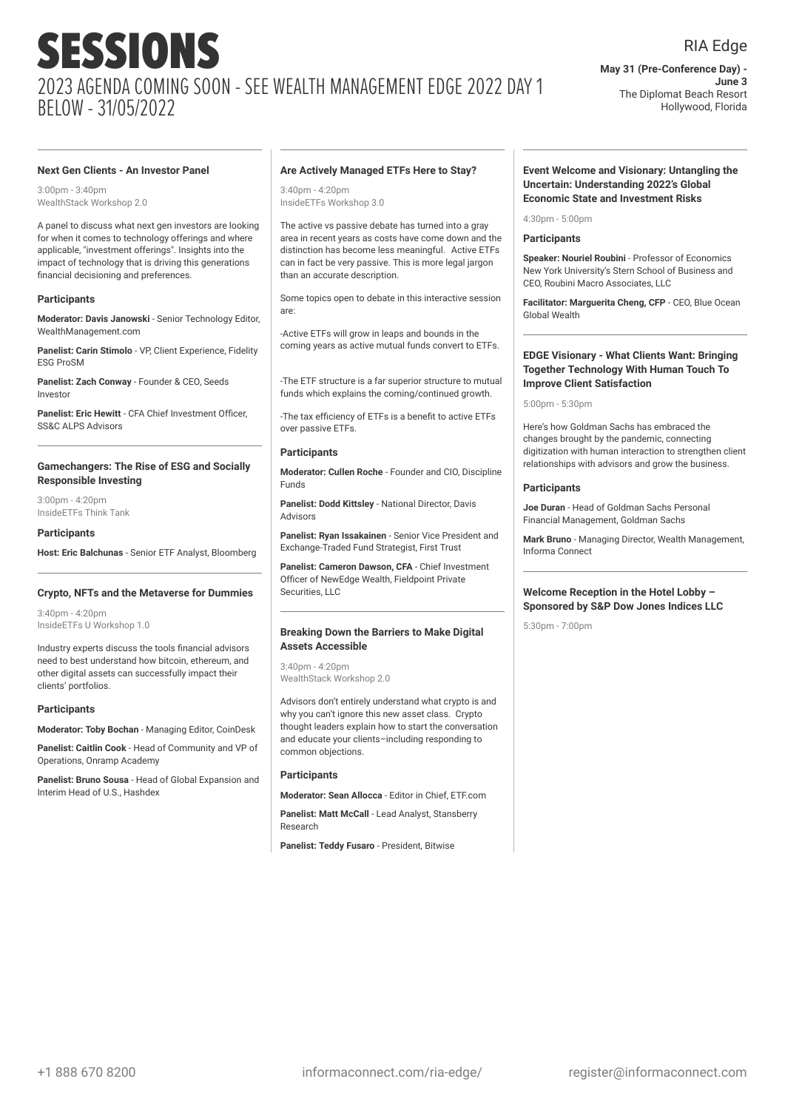#### **Next Gen Clients - An Investor Panel**

 $3:00$ pm -  $3:40$ pm WealthStack Workshop 2.0

A panel to discuss what next gen investors are looking for when it comes to technology offerings and where applicable, "investment offerings". Insights into the impact of technology that is driving this generations financial decisioning and preferences.

#### **Participants**

**Moderator: Davis Janowski** - Senior Technology Editor, WealthManagement.com

**Panelist: Carin Stimolo** - VP, Client Experience, Fidelity ESG ProSM

**Panelist: Zach Conway** - Founder & CEO, Seeds Investor

**Panelist: Eric Hewitt** - CFA Chief Investment Officer, SS&C ALPS Advisors

#### **Gamechangers: The Rise of ESG and Socially Responsible Investing**

3:00pm - 4:20pm InsideETFs Think Tank

#### **Participants**

**Host: Eric Balchunas** - Senior ETF Analyst, Bloomberg

#### **Crypto, NFTs and the Metaverse for Dummies**

3:40pm - 4:20pm InsideETFs U Workshop 1.0

Industry experts discuss the tools financial advisors need to best understand how bitcoin, ethereum, and other digital assets can successfully impact their clients' portfolios.

#### **Participants**

**Moderator: Toby Bochan** - Managing Editor, CoinDesk

**Panelist: Caitlin Cook** - Head of Community and VP of Operations, Onramp Academy

**Panelist: Bruno Sousa** - Head of Global Expansion and Interim Head of U.S., Hashdex

#### **Are Actively Managed ETFs Here to Stay?**

3:40pm - 4:20pm InsideETFs Workshop 3.0

The active vs passive debate has turned into a gray area in recent years as costs have come down and the distinction has become less meaningful. Active ETFs can in fact be very passive. This is more legal jargon than an accurate description.

Some topics open to debate in this interactive session are:

-Active ETFs will grow in leaps and bounds in the coming years as active mutual funds convert to ETFs.

-The ETF structure is a far superior structure to mutual funds which explains the coming/continued growth.

-The tax efficiency of ETFs is a benefit to active ETFs over passive ETFs.

#### **Participants**

**Moderator: Cullen Roche** - Founder and CIO, Discipline Funds

**Panelist: Dodd Kittsley** - National Director, Davis Advisors

**Panelist: Ryan Issakainen** - Senior Vice President and Exchange-Traded Fund Strategist, First Trust

**Panelist: Cameron Dawson, CFA** - Chief Investment Officer of NewEdge Wealth, Fieldpoint Private Securities, LLC

#### **Breaking Down the Barriers to Make Digital Assets Accessible**

3:40pm - 4:20pm WealthStack Workshop 2.0

Advisors don't entirely understand what crypto is and why you can't ignore this new asset class. Crypto thought leaders explain how to start the conversation and educate your clients–including responding to common objections.

#### **Participants**

**Moderator: Sean Allocca** - Editor in Chief, ETF.com

**Panelist: Matt McCall** - Lead Analyst, Stansberry Research

**Panelist: Teddy Fusaro** - President, Bitwise

#### **Event Welcome and Visionary: Untangling the Uncertain: Understanding 2022's Global Economic State and Investment Risks**

#### $4:30$ pm - 5:00pm

#### **Participants**

**Speaker: Nouriel Roubini** - Professor of Economics New York University's Stern School of Business and CEO, Roubini Macro Associates, LLC

**Facilitator: Marguerita Cheng, CFP** - CEO, Blue Ocean Global Wealth

#### **EDGE Visionary - What Clients Want: Bringing Together Technology With Human Touch To Improve Client Satisfaction**

5:00pm - 5:30pm

Here's how Goldman Sachs has embraced the changes brought by the pandemic, connecting digitization with human interaction to strengthen client relationships with advisors and grow the business.

#### **Participants**

**Joe Duran** - Head of Goldman Sachs Personal Financial Management, Goldman Sachs

**Mark Bruno** - Managing Director, Wealth Management, Informa Connect

#### **Welcome Reception in the Hotel Lobby – Sponsored by S&P Dow Jones Indices LLC**

5:30pm - 7:00pm

**June 3**

**May 31 (Pre-Conference Day) -**

The Diplomat Beach Resort Hollywood, Florida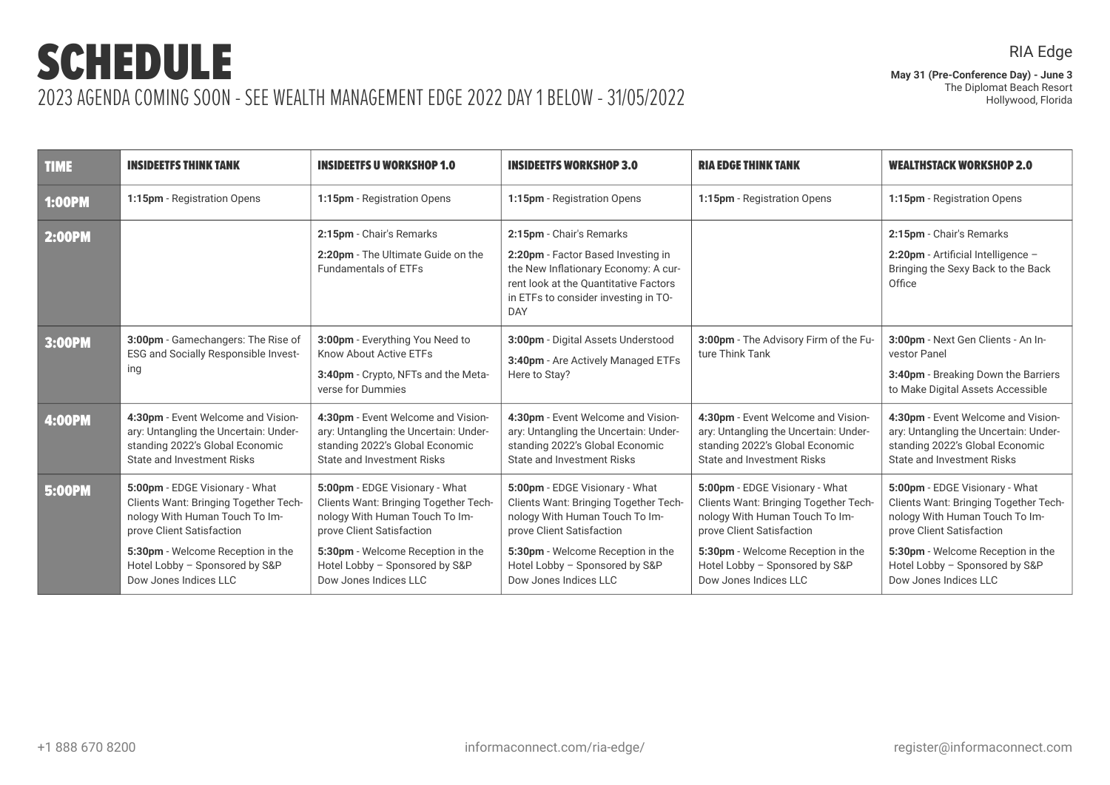**May 31 (Pre-Conference Day) - June 3** The Diplomat Beach Resort Hollywood, Florida

| <b>TIME</b>   | <b>INSIDEETFS THINK TANK</b>                                                                                                                                                                                                           | <b>INSIDEETFS U WORKSHOP 1.0</b>                                                                                                                                                                                                       | <b>INSIDEETFS WORKSHOP 3.0</b>                                                                                                                                                                                                         | <b>RIA EDGE THINK TANK</b>                                                                                                                                                                                                             | <b>WEALTHSTACK WORKSHOP 2.0</b>                                                                                                                                                                                                        |
|---------------|----------------------------------------------------------------------------------------------------------------------------------------------------------------------------------------------------------------------------------------|----------------------------------------------------------------------------------------------------------------------------------------------------------------------------------------------------------------------------------------|----------------------------------------------------------------------------------------------------------------------------------------------------------------------------------------------------------------------------------------|----------------------------------------------------------------------------------------------------------------------------------------------------------------------------------------------------------------------------------------|----------------------------------------------------------------------------------------------------------------------------------------------------------------------------------------------------------------------------------------|
| <b>1:00PM</b> | 1:15pm - Registration Opens                                                                                                                                                                                                            | 1:15pm - Registration Opens                                                                                                                                                                                                            | 1:15pm - Registration Opens                                                                                                                                                                                                            | 1:15pm - Registration Opens                                                                                                                                                                                                            | 1:15pm - Registration Opens                                                                                                                                                                                                            |
| <b>2:00PM</b> |                                                                                                                                                                                                                                        | 2:15pm - Chair's Remarks<br>2:20pm - The Ultimate Guide on the<br><b>Fundamentals of ETFs</b>                                                                                                                                          | 2:15pm - Chair's Remarks<br>2:20pm - Factor Based Investing in<br>the New Inflationary Economy: A cur-<br>rent look at the Quantitative Factors<br>in ETFs to consider investing in TO-<br>DAY                                         |                                                                                                                                                                                                                                        | 2:15pm - Chair's Remarks<br>2:20pm - Artificial Intelligence -<br>Bringing the Sexy Back to the Back<br>Office                                                                                                                         |
| 3:00PM        | 3:00pm - Gamechangers: The Rise of<br>ESG and Socially Responsible Invest-<br>ing                                                                                                                                                      | 3:00pm - Everything You Need to<br>Know About Active ETFs<br>3:40pm - Crypto, NFTs and the Meta-<br>verse for Dummies                                                                                                                  | 3:00pm - Digital Assets Understood<br>3:40pm - Are Actively Managed ETFs<br>Here to Stay?                                                                                                                                              | 3:00pm - The Advisory Firm of the Fu-<br>ture Think Tank                                                                                                                                                                               | 3:00pm - Next Gen Clients - An In-<br>vestor Panel<br>3:40pm - Breaking Down the Barriers<br>to Make Digital Assets Accessible                                                                                                         |
| 4:00PM        | 4:30pm - Event Welcome and Vision-<br>ary: Untangling the Uncertain: Under-<br>standing 2022's Global Economic<br><b>State and Investment Risks</b>                                                                                    | 4:30pm - Event Welcome and Vision-<br>ary: Untangling the Uncertain: Under-<br>standing 2022's Global Economic<br><b>State and Investment Risks</b>                                                                                    | 4:30pm - Event Welcome and Vision-<br>ary: Untangling the Uncertain: Under-<br>standing 2022's Global Economic<br><b>State and Investment Risks</b>                                                                                    | 4:30pm - Event Welcome and Vision-<br>ary: Untangling the Uncertain: Under-<br>standing 2022's Global Economic<br><b>State and Investment Risks</b>                                                                                    | 4:30pm - Event Welcome and Vision-<br>ary: Untangling the Uncertain: Under-<br>standing 2022's Global Economic<br><b>State and Investment Risks</b>                                                                                    |
| <b>5:00PM</b> | 5:00pm - EDGE Visionary - What<br>Clients Want: Bringing Together Tech-<br>nology With Human Touch To Im-<br>prove Client Satisfaction<br>5:30pm - Welcome Reception in the<br>Hotel Lobby - Sponsored by S&P<br>Dow Jones Indices LLC | 5:00pm - EDGE Visionary - What<br>Clients Want: Bringing Together Tech-<br>nology With Human Touch To Im-<br>prove Client Satisfaction<br>5:30pm - Welcome Reception in the<br>Hotel Lobby - Sponsored by S&P<br>Dow Jones Indices LLC | 5:00pm - EDGE Visionary - What<br>Clients Want: Bringing Together Tech-<br>nology With Human Touch To Im-<br>prove Client Satisfaction<br>5:30pm - Welcome Reception in the<br>Hotel Lobby - Sponsored by S&P<br>Dow Jones Indices LLC | 5:00pm - EDGE Visionary - What<br>Clients Want: Bringing Together Tech-<br>nology With Human Touch To Im-<br>prove Client Satisfaction<br>5:30pm - Welcome Reception in the<br>Hotel Lobby - Sponsored by S&P<br>Dow Jones Indices LLC | 5:00pm - EDGE Visionary - What<br>Clients Want: Bringing Together Tech-<br>nology With Human Touch To Im-<br>prove Client Satisfaction<br>5:30pm - Welcome Reception in the<br>Hotel Lobby - Sponsored by S&P<br>Dow Jones Indices LLC |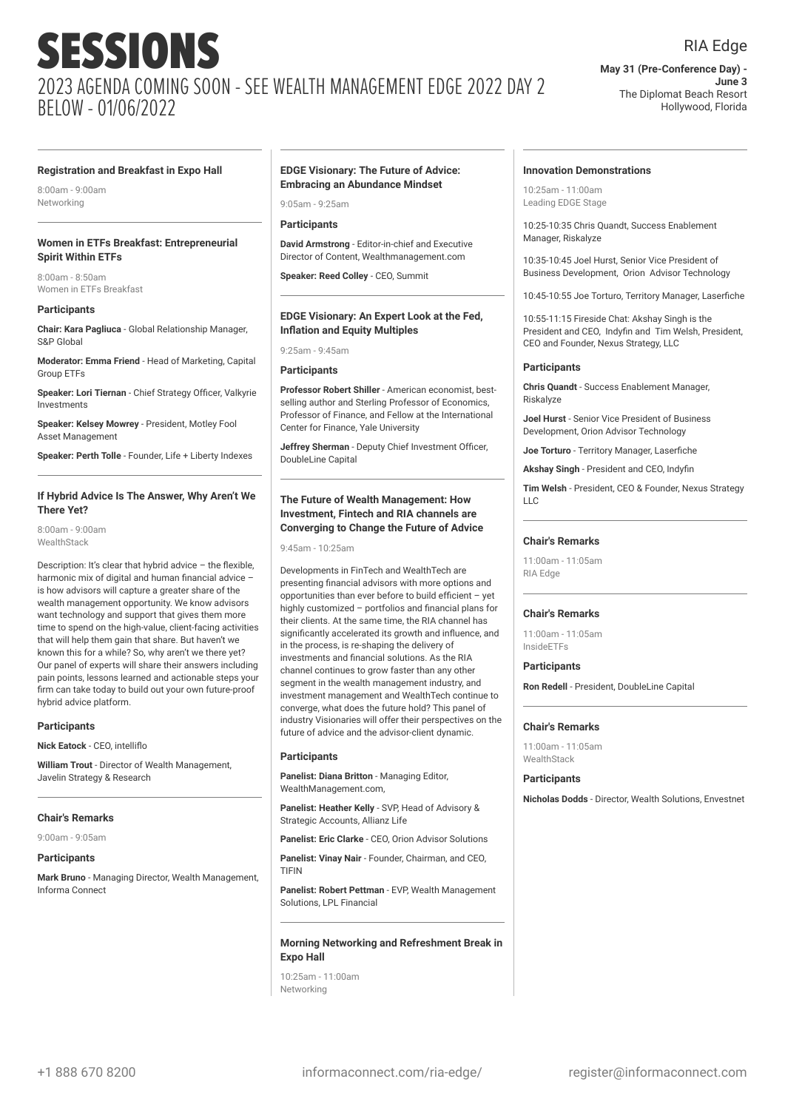### RIA Edge

**May 31 (Pre-Conference Day) - June 3** The Diplomat Beach Resort Hollywood, Florida

#### **Registration and Breakfast in Expo Hall**

8:00am - 9:00am Networking

#### **Women in ETFs Breakfast: Entrepreneurial Spirit Within ETFs**

8:00am - 8:50am Women in ETFs Breakfast

#### **Participants**

**Chair: Kara Pagliuca** - Global Relationship Manager, S&P Global

**Moderator: Emma Friend** - Head of Marketing, Capital Group ETFs

**Speaker: Lori Tiernan** - Chief Strategy Officer, Valkyrie Investments

**Speaker: Kelsey Mowrey** - President, Motley Fool Asset Management

**Speaker: Perth Tolle** - Founder, Life + Liberty Indexes

#### **If Hybrid Advice Is The Answer, Why Aren't We There Yet?**

8:00am - 9:00am **WealthStack** 

Description: It's clear that hybrid advice – the flexible, harmonic mix of digital and human financial advice – is how advisors will capture a greater share of the wealth management opportunity. We know advisors want technology and support that gives them more time to spend on the high-value, client-facing activities that will help them gain that share. But haven't we known this for a while? So, why aren't we there yet? Our panel of experts will share their answers including pain points, lessons learned and actionable steps your firm can take today to build out your own future-proof hybrid advice platform.

#### **Participants**

**Nick Eatock** - CEO, intelliflo

**William Trout** - Director of Wealth Management, Javelin Strategy & Research

#### **Chair's Remarks**

9:00am - 9:05am

#### **Participants**

**Mark Bruno** - Managing Director, Wealth Management, Informa Connect

#### **EDGE Visionary: The Future of Advice: Embracing an Abundance Mindset**

9:05am - 9:25am

#### **Participants**

**David Armstrong** - Editor-in-chief and Executive Director of Content, Wealthmanagement.com

**Speaker: Reed Colley** - CEO, Summit

#### **EDGE Visionary: An Expert Look at the Fed, Inflation and Equity Multiples**

9:25am - 9:45am

**Participants**

**Professor Robert Shiller** - American economist, bestselling author and Sterling Professor of Economics, Professor of Finance, and Fellow at the International Center for Finance, Yale University

**Jeffrey Sherman** - Deputy Chief Investment Officer, DoubleLine Capital

#### **The Future of Wealth Management: How Investment, Fintech and RIA channels are Converging to Change the Future of Advice**

9:45am - 10:25am

Developments in FinTech and WealthTech are presenting financial advisors with more options and opportunities than ever before to build efficient – yet highly customized – portfolios and financial plans for their clients. At the same time, the RIA channel has significantly accelerated its growth and influence, and in the process, is re-shaping the delivery of investments and financial solutions. As the RIA channel continues to grow faster than any other segment in the wealth management industry, and investment management and WealthTech continue to converge, what does the future hold? This panel of industry Visionaries will offer their perspectives on the future of advice and the advisor-client dynamic.

#### **Participants**

**Panelist: Diana Britton** - Managing Editor, WealthManagement.com,

**Panelist: Heather Kelly** - SVP, Head of Advisory & Strategic Accounts, Allianz Life

**Panelist: Eric Clarke** - CEO, Orion Advisor Solutions

**Panelist: Vinay Nair** - Founder, Chairman, and CEO,

TIFIN

**Panelist: Robert Pettman** - EVP, Wealth Management Solutions, LPL Financial

#### **Morning Networking and Refreshment Break in Expo Hall**

10:25am - 11:00am Networking

#### **Innovation Demonstrations**

10:25am - 11:00am Leading EDGE Stage

10:25-10:35 Chris Quandt, Success Enablement Manager, Riskalyze

10:35-10:45 Joel Hurst, Senior Vice President of Business Development, Orion Advisor Technology

10:45-10:55 Joe Torturo, Territory Manager, Laserfiche

10:55-11:15 Fireside Chat: Akshay Singh is the President and CEO, Indyfin and Tim Welsh, President, CEO and Founder, Nexus Strategy, LLC

#### **Participants**

**Chris Quandt** - Success Enablement Manager, Riskalyze

**Joel Hurst** - Senior Vice President of Business Development, Orion Advisor Technology

**Joe Torturo** - Territory Manager, Laserfiche

**Akshay Singh** - President and CEO, Indyfin

**Tim Welsh** - President, CEO & Founder, Nexus Strategy  $\overline{L}$ 

#### **Chair's Remarks**

11:00am - 11:05am RIA Edge

#### **Chair's Remarks**

11:00am - 11:05am InsideETFs

**Participants**

**Ron Redell** - President, DoubleLine Capital

#### **Chair's Remarks**

11:00am - 11:05am **WealthStack** 

#### **Participants**

**Nicholas Dodds** - Director, Wealth Solutions, Envestnet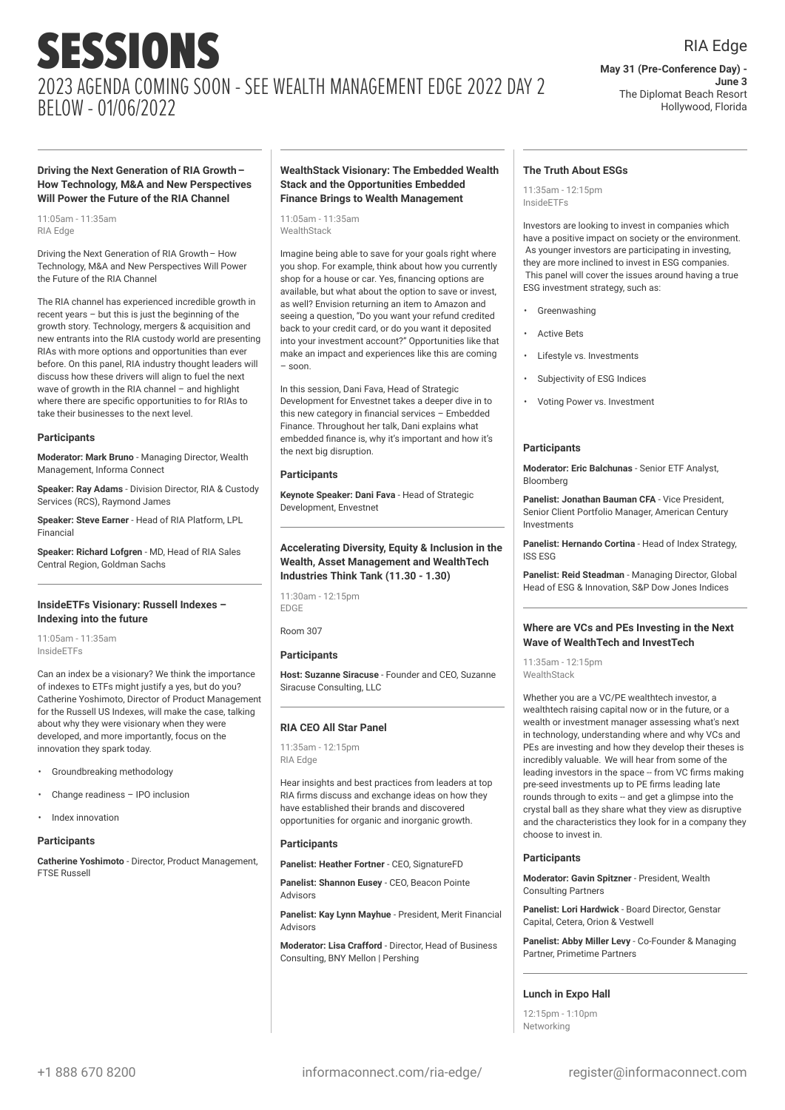#### RIA Edge **May 31 (Pre-Conference Day) -**

**June 3** The Diplomat Beach Resort Hollywood, Florida

**Driving the Next Generation of RIA Growth– How Technology, M&A and New Perspectives Will Power the Future of the RIA Channel**

11:05am - 11:35am RIA Edge

Driving the Next Generation of RIA Growth– How Technology, M&A and New Perspectives Will Power the Future of the RIA Channel

The RIA channel has experienced incredible growth in recent years – but this is just the beginning of the growth story. Technology, mergers & acquisition and new entrants into the RIA custody world are presenting RIAs with more options and opportunities than ever before. On this panel, RIA industry thought leaders will discuss how these drivers will align to fuel the next wave of growth in the RIA channel – and highlight where there are specific opportunities to for RIAs to take their businesses to the next level.

#### **Participants**

**Moderator: Mark Bruno** - Managing Director, Wealth Management, Informa Connect

**Speaker: Ray Adams** - Division Director, RIA & Custody Services (RCS), Raymond James

**Speaker: Steve Earner** - Head of RIA Platform, LPL Financial

**Speaker: Richard Lofgren** - MD, Head of RIA Sales Central Region, Goldman Sachs

#### **InsideETFs Visionary: Russell Indexes – Indexing into the future**

11:05am - 11:35am InsideETFs

Can an index be a visionary? We think the importance of indexes to ETFs might justify a yes, but do you? Catherine Yoshimoto, Director of Product Management for the Russell US Indexes, will make the case, talking about why they were visionary when they were developed, and more importantly, focus on the innovation they spark today.

- Groundbreaking methodology
- Change readiness IPO inclusion
- Index innovation

#### **Participants**

**Catherine Yoshimoto** - Director, Product Management, FTSE Russell

#### **WealthStack Visionary: The Embedded Wealth Stack and the Opportunities Embedded Finance Brings to Wealth Management**

11:05am - 11:35am **WealthStack** 

Imagine being able to save for your goals right where you shop. For example, think about how you currently shop for a house or car. Yes, financing options are available, but what about the option to save or invest, as well? Envision returning an item to Amazon and seeing a question, "Do you want your refund credited back to your credit card, or do you want it deposited into your investment account?" Opportunities like that make an impact and experiences like this are coming – soon.

In this session, Dani Fava, Head of Strategic Development for Envestnet takes a deeper dive in to this new category in financial services – Embedded Finance. Throughout her talk, Dani explains what embedded finance is, why it's important and how it's the next big disruption.

#### **Participants**

**Keynote Speaker: Dani Fava** - Head of Strategic Development, Envestnet

**Accelerating Diversity, Equity & Inclusion in the Wealth, Asset Management and WealthTech Industries Think Tank (11.30 - 1.30)**

11:30am - 12:15pm EDGE

Room 307

#### **Participants**

**Host: Suzanne Siracuse** - Founder and CEO, Suzanne Siracuse Consulting, LLC

#### **RIA CEO All Star Panel**

11:35am - 12:15pm RIA Edge

Hear insights and best practices from leaders at top RIA firms discuss and exchange ideas on how they have established their brands and discovered opportunities for organic and inorganic growth.

#### **Participants**

**Panelist: Heather Fortner** - CEO, SignatureFD

**Panelist: Shannon Eusey** - CEO, Beacon Pointe Advisors

**Panelist: Kay Lynn Mayhue** - President, Merit Financial Advisors

**Moderator: Lisa Crafford** - Director, Head of Business Consulting, BNY Mellon | Pershing

#### **The Truth About ESGs**

11:35am - 12:15pm InsideETFs

Investors are looking to invest in companies which have a positive impact on society or the environment. As younger investors are participating in investing, they are more inclined to invest in ESG companies. This panel will cover the issues around having a true ESG investment strategy, such as:

- **Greenwashing**
- **Active Bets**
- Lifestyle vs. Investments
- Subjectivity of ESG Indices
- Voting Power vs. Investment

#### **Participants**

**Moderator: Eric Balchunas** - Senior ETF Analyst, Bloomberg

**Panelist: Jonathan Bauman CFA** - Vice President, Senior Client Portfolio Manager, American Century Investments

**Panelist: Hernando Cortina** - Head of Index Strategy, ISS ESG

**Panelist: Reid Steadman** - Managing Director, Global Head of ESG & Innovation, S&P Dow Jones Indices

#### **Where are VCs and PEs Investing in the Next Wave of WealthTech and InvestTech**

11:35am - 12:15pm WealthStack

Whether you are a VC/PE wealthtech investor, a wealthtech raising capital now or in the future, or a wealth or investment manager assessing what's next in technology, understanding where and why VCs and PEs are investing and how they develop their theses is incredibly valuable. We will hear from some of the leading investors in the space -- from VC firms making pre-seed investments up to PE firms leading late rounds through to exits -- and get a glimpse into the crystal ball as they share what they view as disruptive and the characteristics they look for in a company they choose to invest in.

#### **Participants**

**Moderator: Gavin Spitzner** - President, Wealth Consulting Partners

**Panelist: Lori Hardwick** - Board Director, Genstar Capital, Cetera, Orion & Vestwell

**Panelist: Abby Miller Levy** - Co-Founder & Managing Partner, Primetime Partners

#### **Lunch in Expo Hall**

12:15pm - 1:10pm Networking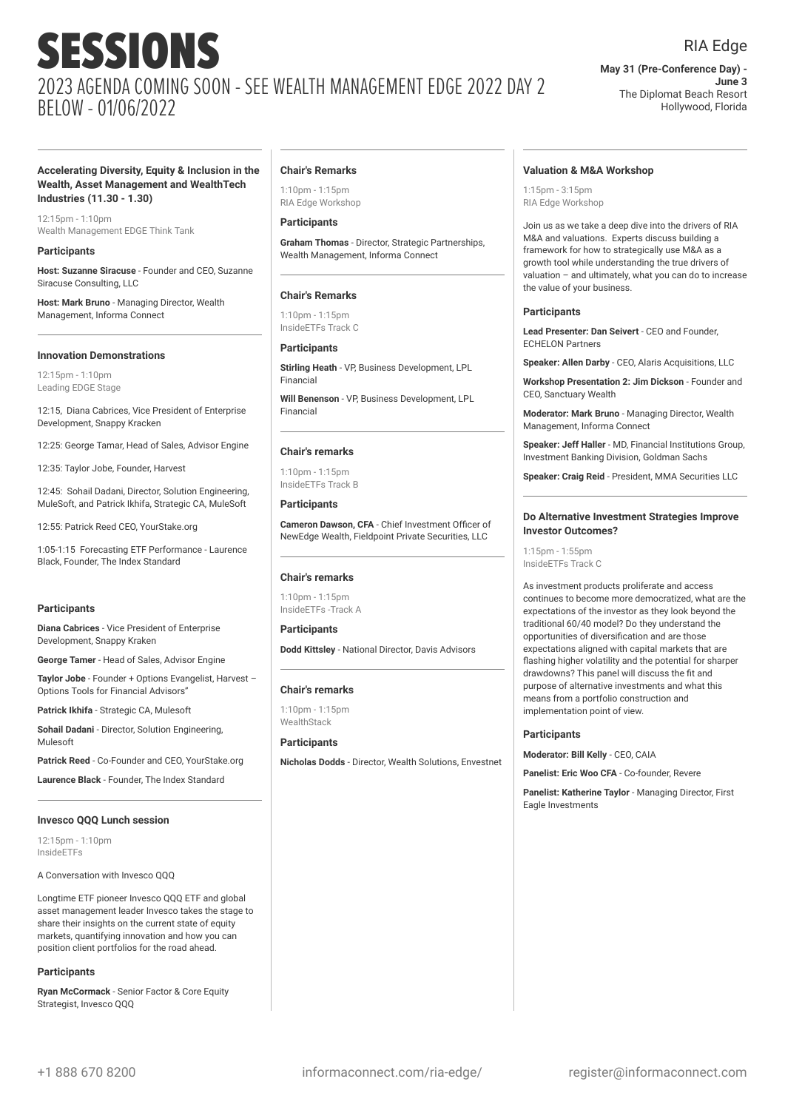RIA Edge

**May 31 (Pre-Conference Day) - June 3** The Diplomat Beach Resort Hollywood, Florida

#### **Accelerating Diversity, Equity & Inclusion in the Wealth, Asset Management and WealthTech Industries (11.30 - 1.30)**

12:15pm - 1:10pm Wealth Management EDGE Think Tank

#### **Participants**

**Host: Suzanne Siracuse** - Founder and CEO, Suzanne Siracuse Consulting, LLC

**Host: Mark Bruno** - Managing Director, Wealth Management, Informa Connect

#### **Innovation Demonstrations**

12:15pm - 1:10pm Leading EDGE Stage

12:15, Diana Cabrices, Vice President of Enterprise Development, Snappy Kracken

12:25: George Tamar, Head of Sales, Advisor Engine

12:35: Taylor Jobe, Founder, Harvest

12:45: Sohail Dadani, Director, Solution Engineering, MuleSoft, and Patrick Ikhifa, Strategic CA, MuleSoft

12:55: Patrick Reed CEO, YourStake.org

1:05-1:15 Forecasting ETF Performance - Laurence Black, Founder, The Index Standard

#### **Participants**

**Diana Cabrices** - Vice President of Enterprise Development, Snappy Kraken

**George Tamer** - Head of Sales, Advisor Engine

**Taylor Jobe** - Founder + Options Evangelist, Harvest – Options Tools for Financial Advisors"

**Patrick Ikhifa** - Strategic CA, Mulesoft

**Sohail Dadani** - Director, Solution Engineering, Mulesoft

**Patrick Reed** - Co-Founder and CEO, YourStake.org

**Laurence Black** - Founder, The Index Standard

#### **Invesco QQQ Lunch session**

12:15pm - 1:10pm InsideETFs

A Conversation with Invesco QQQ

Longtime ETF pioneer Invesco QQQ ETF and global asset management leader Invesco takes the stage to share their insights on the current state of equity markets, quantifying innovation and how you can position client portfolios for the road ahead.

#### **Participants**

**Ryan McCormack** - Senior Factor & Core Equity Strategist, Invesco QQQ

#### **Chair's Remarks**

1:10pm - 1:15pm RIA Edge Workshop

#### **Participants**

**Graham Thomas** - Director, Strategic Partnerships, Wealth Management, Informa Connect

#### **Chair's Remarks**

 $1:10nm - 1:15nm$ InsideETFs Track C

#### **Participants**

**Stirling Heath** - VP, Business Development, LPL Financial

**Will Benenson** - VP, Business Development, LPL Financial

#### **Chair's remarks**

 $1:10nm - 1:15nm$ InsideETFs Track B

**Participants**

**Cameron Dawson, CFA** - Chief Investment Officer of NewEdge Wealth, Fieldpoint Private Securities, LLC

#### **Chair's remarks**

1:10pm - 1:15pm InsideETFs -Track A

## **Participants**

**Dodd Kittsley** - National Director, Davis Advisors

#### **Chair's remarks**

1:10pm - 1:15pm WealthStack

**Participants Nicholas Dodds** - Director, Wealth Solutions, Envestnet

#### **Valuation & M&A Workshop**

1:15pm - 3:15pm RIA Edge Workshop

Join us as we take a deep dive into the drivers of RIA M&A and valuations. Experts discuss building a framework for how to strategically use M&A as a growth tool while understanding the true drivers of valuation – and ultimately, what you can do to increase the value of your business.

#### **Participants**

**Lead Presenter: Dan Seivert** - CEO and Founder, ECHELON Partners

**Speaker: Allen Darby** - CEO, Alaris Acquisitions, LLC

**Workshop Presentation 2: Jim Dickson** - Founder and CEO, Sanctuary Wealth

**Moderator: Mark Bruno** - Managing Director, Wealth Management, Informa Connect

**Speaker: Jeff Haller** - MD, Financial Institutions Group, Investment Banking Division, Goldman Sachs

**Speaker: Craig Reid** - President, MMA Securities LLC

#### **Do Alternative Investment Strategies Improve Investor Outcomes?**

1:15pm - 1:55pm InsideETFs Track C

As investment products proliferate and access continues to become more democratized, what are the expectations of the investor as they look beyond the traditional 60/40 model? Do they understand the opportunities of diversification and are those expectations aligned with capital markets that are flashing higher volatility and the potential for sharper drawdowns? This panel will discuss the fit and purpose of alternative investments and what this means from a portfolio construction and implementation point of view.

#### **Participants**

**Moderator: Bill Kelly** - CEO, CAIA

**Panelist: Eric Woo CFA** - Co-founder, Revere

**Panelist: Katherine Taylor** - Managing Director, First Eagle Investments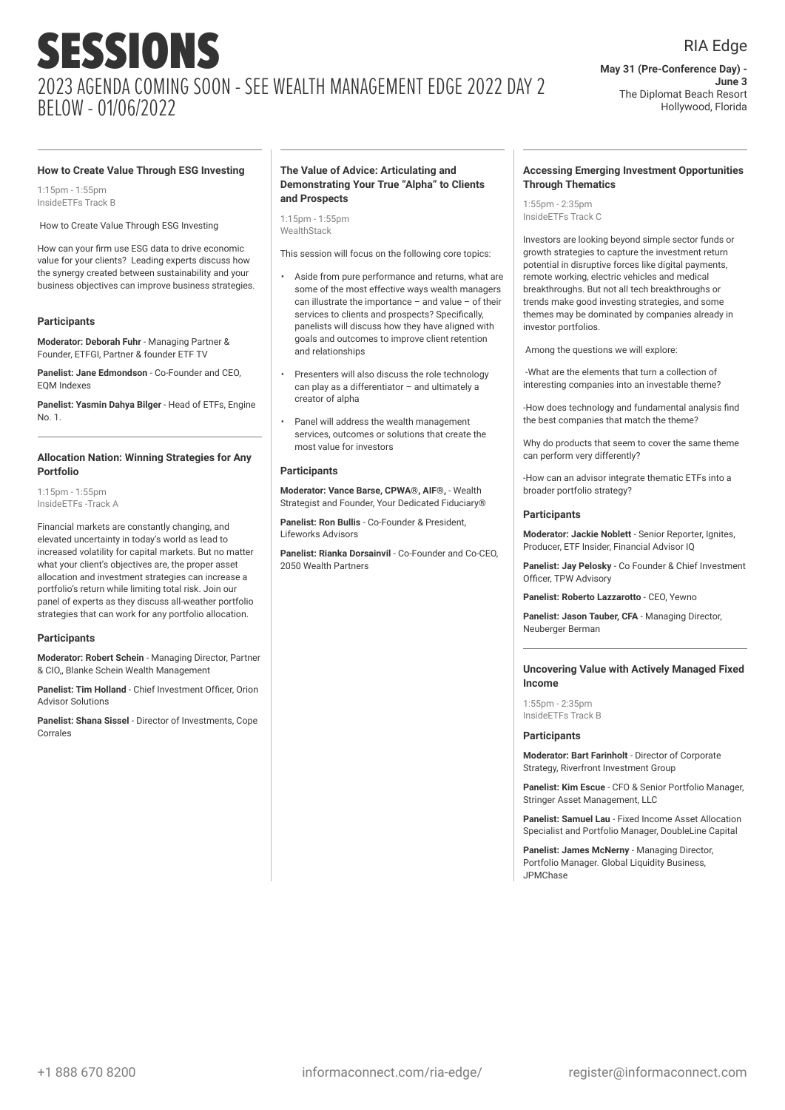**May 31 (Pre-Conference Day) - June 3** The Diplomat Beach Resort Hollywood, Florida

#### **How to Create Value Through ESG Investing**

1:15pm - 1:55pm InsideETFs Track B

How to Create Value Through ESG Investing

How can your firm use ESG data to drive economic value for your clients? Leading experts discuss how the synergy created between sustainability and your business objectives can improve business strategies.

#### **Participants**

**Moderator: Deborah Fuhr** - Managing Partner & Founder, ETFGI, Partner & founder ETF TV

**Panelist: Jane Edmondson** - Co-Founder and CEO, EQM Indexes

**Panelist: Yasmin Dahya Bilger** - Head of ETFs, Engine  $N_0$  1.

#### **Allocation Nation: Winning Strategies for Any Portfolio**

1:15pm - 1:55pm InsideETFs -Track A

Financial markets are constantly changing, and elevated uncertainty in today's world as lead to increased volatility for capital markets. But no matter what your client's objectives are, the proper asset allocation and investment strategies can increase a portfolio's return while limiting total risk. Join our panel of experts as they discuss all-weather portfolio strategies that can work for any portfolio allocation.

#### **Participants**

**Moderator: Robert Schein** - Managing Director, Partner & CIO,, Blanke Schein Wealth Management

**Panelist: Tim Holland** - Chief Investment Officer, Orion Advisor Solutions

**Panelist: Shana Sissel** - Director of Investments, Cope Corrales

#### **The Value of Advice: Articulating and Demonstrating Your True "Alpha" to Clients and Prospects**

1:15pm - 1:55pm **WealthStack** 

This session will focus on the following core topics:

- Aside from pure performance and returns, what are some of the most effective ways wealth managers can illustrate the importance – and value – of their services to clients and prospects? Specifically, panelists will discuss how they have aligned with goals and outcomes to improve client retention and relationships
- Presenters will also discuss the role technology can play as a differentiator – and ultimately a creator of alpha
- Panel will address the wealth management services, outcomes or solutions that create the most value for investors

#### **Participants**

**Moderator: Vance Barse, CPWA®, AIF®,** - Wealth Strategist and Founder, Your Dedicated Fiduciary®

**Panelist: Ron Bullis** - Co-Founder & President, Lifeworks Advisors

**Panelist: Rianka Dorsainvil** - Co-Founder and Co-CEO, 2050 Wealth Partners

#### **Accessing Emerging Investment Opportunities Through Thematics**

1:55pm - 2:35pm InsideETFs Track C

Investors are looking beyond simple sector funds or growth strategies to capture the investment return potential in disruptive forces like digital payments, remote working, electric vehicles and medical breakthroughs. But not all tech breakthroughs or trends make good investing strategies, and some themes may be dominated by companies already in investor portfolios.

Among the questions we will explore:

-What are the elements that turn a collection of interesting companies into an investable theme?

-How does technology and fundamental analysis find the best companies that match the theme?

Why do products that seem to cover the same theme can perform very differently?

-How can an advisor integrate thematic ETFs into a broader portfolio strategy?

#### **Participants**

**Moderator: Jackie Noblett** - Senior Reporter, Ignites, Producer, ETF Insider, Financial Advisor IQ

**Panelist: Jay Pelosky** - Co Founder & Chief Investment Officer, TPW Advisory

**Panelist: Roberto Lazzarotto** - CEO, Yewno

**Panelist: Jason Tauber, CFA** - Managing Director, Neuberger Berman

#### **Uncovering Value with Actively Managed Fixed Income**

1:55pm - 2:35pm InsideETFs Track B

#### **Participants**

**Moderator: Bart Farinholt** - Director of Corporate Strategy, Riverfront Investment Group

**Panelist: Kim Escue** - CFO & Senior Portfolio Manager, Stringer Asset Management, LLC

**Panelist: Samuel Lau** - Fixed Income Asset Allocation Specialist and Portfolio Manager, DoubleLine Capital

**Panelist: James McNerny** - Managing Director, Portfolio Manager. Global Liquidity Business, JPMChase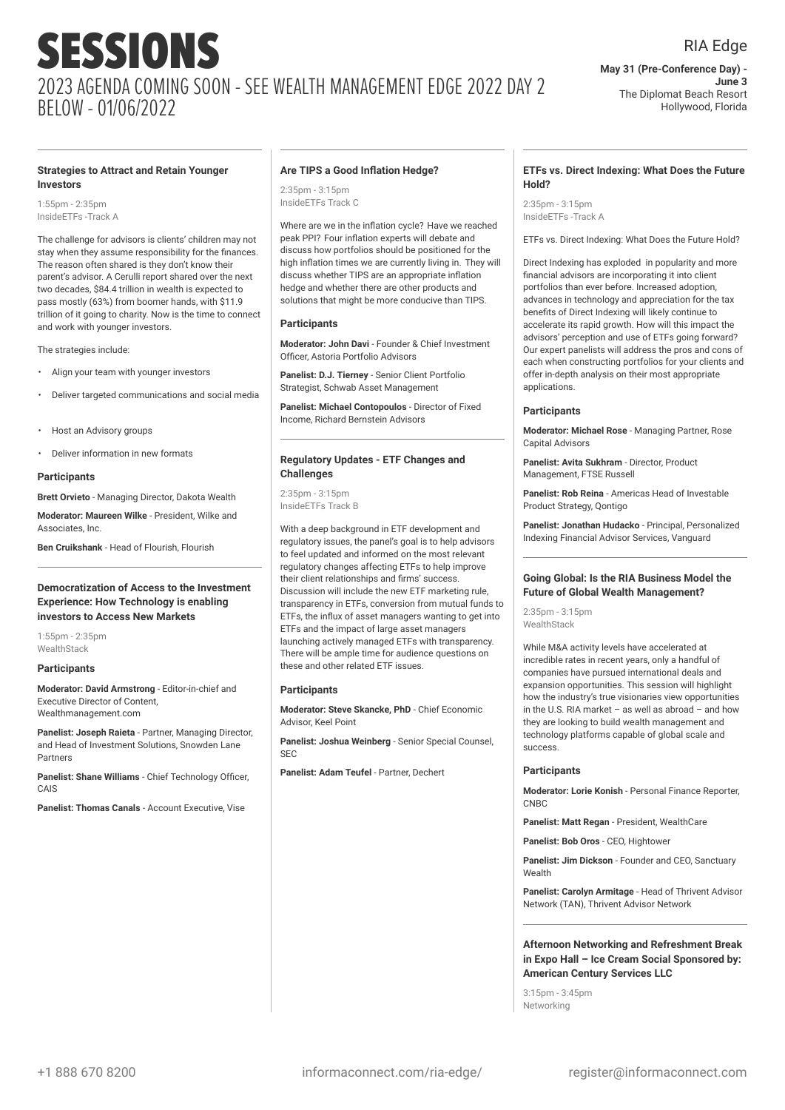#### RIA Edge

**May 31 (Pre-Conference Day) - June 3** The Diplomat Beach Resort Hollywood, Florida

#### **Strategies to Attract and Retain Younger Investors**

1:55pm - 2:35pm InsideETFs -Track A

The challenge for advisors is clients' children may not stay when they assume responsibility for the finances. The reason often shared is they don't know their parent's advisor. A Cerulli report shared over the next two decades, \$84.4 trillion in wealth is expected to pass mostly (63%) from boomer hands, with \$11.9 trillion of it going to charity. Now is the time to connect and work with younger investors.

The strategies include:

- Align your team with younger investors
- Deliver targeted communications and social media
- Host an Advisory groups
- Deliver information in new formats

#### **Participants**

**Brett Orvieto** - Managing Director, Dakota Wealth

**Moderator: Maureen Wilke** - President, Wilke and Associates, Inc.

**Ben Cruikshank** - Head of Flourish, Flourish

#### **Democratization of Access to the Investment Experience: How Technology is enabling investors to Access New Markets**

1:55pm - 2:35pm **WealthStack** 

#### **Participants**

**Moderator: David Armstrong** - Editor-in-chief and Executive Director of Content, Wealthmanagement.com

**Panelist: Joseph Raieta** - Partner, Managing Director, and Head of Investment Solutions, Snowden Lane Partners

**Panelist: Shane Williams** - Chief Technology Officer, CAIS

**Panelist: Thomas Canals** - Account Executive, Vise

#### **Are TIPS a Good Inflation Hedge?**

2:35pm - 3:15pm InsideETFs Track C

Where are we in the inflation cycle? Have we reached peak PPI? Four inflation experts will debate and discuss how portfolios should be positioned for the high inflation times we are currently living in. They will discuss whether TIPS are an appropriate inflation hedge and whether there are other products and solutions that might be more conducive than TIPS.

#### **Participants**

**Moderator: John Davi** - Founder & Chief Investment Officer, Astoria Portfolio Advisors

**Panelist: D.J. Tierney** - Senior Client Portfolio Strategist, Schwab Asset Management

**Panelist: Michael Contopoulos** - Director of Fixed Income, Richard Bernstein Advisors

#### **Regulatory Updates - ETF Changes and Challenges**

2:35pm - 3:15pm InsideETFs Track B

With a deep background in ETF development and regulatory issues, the panel's goal is to help advisors to feel updated and informed on the most relevant regulatory changes affecting ETFs to help improve their client relationships and firms' success. Discussion will include the new ETF marketing rule, transparency in ETFs, conversion from mutual funds to ETFs, the influx of asset managers wanting to get into ETFs and the impact of large asset managers launching actively managed ETFs with transparency. There will be ample time for audience questions on these and other related ETF issues.

#### **Participants**

**Moderator: Steve Skancke, PhD** - Chief Economic Advisor, Keel Point

**Panelist: Joshua Weinberg** - Senior Special Counsel, SEC

**Panelist: Adam Teufel** - Partner, Dechert

#### **ETFs vs. Direct Indexing: What Does the Future Hold?**

2:35pm - 3:15pm InsideETFs -Track A

ETFs vs. Direct Indexing: What Does the Future Hold?

Direct Indexing has exploded in popularity and more financial advisors are incorporating it into client portfolios than ever before. Increased adoption, advances in technology and appreciation for the tax benefits of Direct Indexing will likely continue to accelerate its rapid growth. How will this impact the advisors' perception and use of ETFs going forward? Our expert panelists will address the pros and cons of each when constructing portfolios for your clients and offer in-depth analysis on their most appropriate applications.

#### **Participants**

**Moderator: Michael Rose** - Managing Partner, Rose Capital Advisors

**Panelist: Avita Sukhram** - Director, Product Management, FTSE Russell

**Panelist: Rob Reina** - Americas Head of Investable Product Strategy, Qontigo

**Panelist: Jonathan Hudacko** - Principal, Personalized Indexing Financial Advisor Services, Vanguard

#### **Going Global: Is the RIA Business Model the Future of Global Wealth Management?**

2:35pm - 3:15pm WealthStack

While M&A activity levels have accelerated at incredible rates in recent years, only a handful of companies have pursued international deals and expansion opportunities. This session will highlight how the industry's true visionaries view opportunities in the U.S. RIA market – as well as abroad – and how they are looking to build wealth management and technology platforms capable of global scale and success.

#### **Participants**

**Moderator: Lorie Konish** - Personal Finance Reporter, CNBC

**Panelist: Matt Regan** - President, WealthCare

**Panelist: Bob Oros** - CEO, Hightower

**Panelist: Jim Dickson** - Founder and CEO, Sanctuary Wealth

**Panelist: Carolyn Armitage** - Head of Thrivent Advisor Network (TAN), Thrivent Advisor Network

#### **Afternoon Networking and Refreshment Break in Expo Hall – Ice Cream Social Sponsored by: American Century Services LLC**

3:15pm - 3:45pm Networking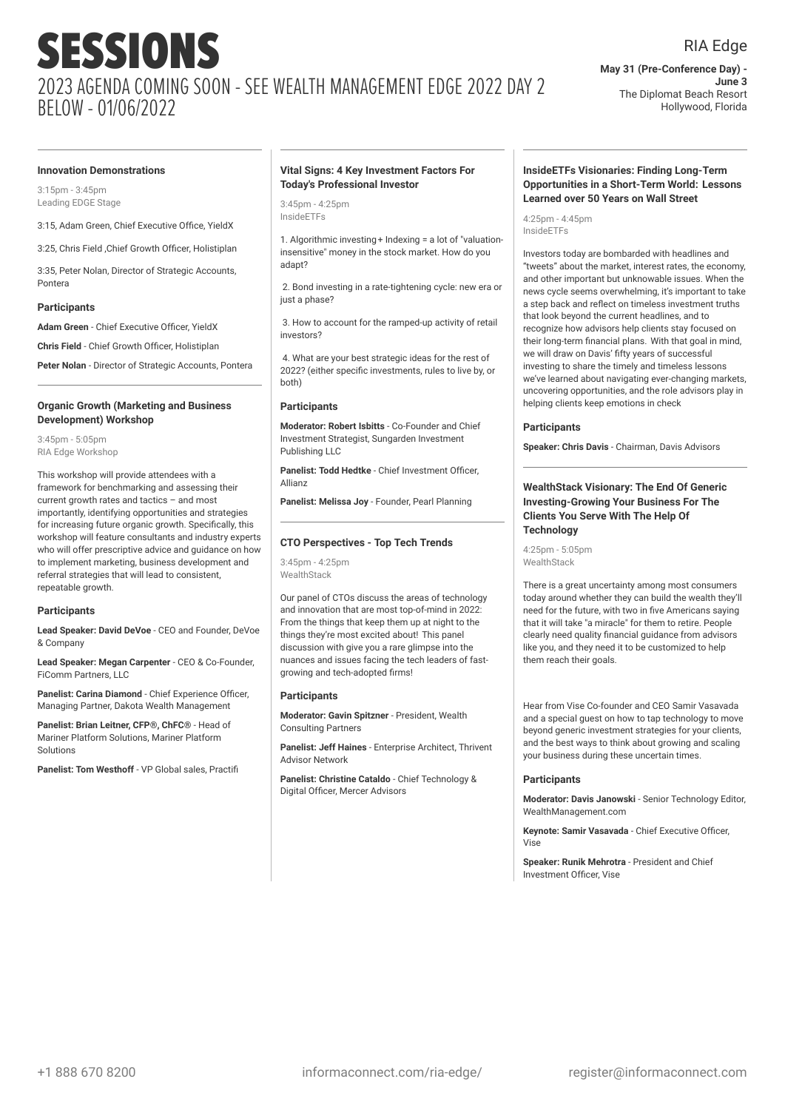#### RIA Edge

**May 31 (Pre-Conference Day) - June 3** The Diplomat Beach Resort Hollywood, Florida

#### **Innovation Demonstrations**

3:15pm - 3:45pm Leading EDGE Stage

3:15, Adam Green, Chief Executive Office, YieldX

3:25, Chris Field ,Chief Growth Officer, Holistiplan

3:35, Peter Nolan, Director of Strategic Accounts, Pontera

#### **Participants**

**Adam Green** - Chief Executive Officer, YieldX

**Chris Field** - Chief Growth Officer, Holistiplan

**Peter Nolan** - Director of Strategic Accounts, Pontera

#### **Organic Growth (Marketing and Business Development) Workshop**

3:45pm - 5:05pm RIA Edge Workshop

This workshop will provide attendees with a framework for benchmarking and assessing their current growth rates and tactics – and most importantly, identifying opportunities and strategies for increasing future organic growth. Specifically, this workshop will feature consultants and industry experts who will offer prescriptive advice and guidance on how to implement marketing, business development and referral strategies that will lead to consistent, repeatable growth.

#### **Participants**

**Lead Speaker: David DeVoe** - CEO and Founder, DeVoe & Company

**Lead Speaker: Megan Carpenter** - CEO & Co-Founder, FiComm Partners, LLC

**Panelist: Carina Diamond - Chief Experience Officer** Managing Partner, Dakota Wealth Management

**Panelist: Brian Leitner, CFP®, ChFC®** - Head of Mariner Platform Solutions, Mariner Platform **Solutions** 

**Panelist: Tom Westhoff** - VP Global sales, Practifi

#### **Vital Signs: 4 Key Investment Factors For Today's Professional Investor**

3:45pm - 4:25pm InsideETFs

1. Algorithmic investing+ Indexing = a lot of "valuationinsensitive" money in the stock market. How do you adapt?

2. Bond investing in a rate-tightening cycle: new era or just a phase?

3. How to account for the ramped-up activity of retail investors?

4. What are your best strategic ideas for the rest of 2022? (either specific investments, rules to live by, or both)

#### **Participants**

**Moderator: Robert Isbitts** - Co-Founder and Chief Investment Strategist, Sungarden Investment Publishing LLC

**Panelist: Todd Hedtke** - Chief Investment Officer, Allianz

**Panelist: Melissa Joy** - Founder, Pearl Planning

#### **CTO Perspectives - Top Tech Trends**

3:45pm - 4:25pm WealthStack

Our panel of CTOs discuss the areas of technology and innovation that are most top-of-mind in 2022: From the things that keep them up at night to the things they're most excited about! This panel discussion with give you a rare glimpse into the nuances and issues facing the tech leaders of fastgrowing and tech-adopted firms!

#### **Participants**

**Moderator: Gavin Spitzner** - President, Wealth Consulting Partners

**Panelist: Jeff Haines** - Enterprise Architect, Thrivent Advisor Network

**Panelist: Christine Cataldo** - Chief Technology & Digital Officer, Mercer Advisors

#### **InsideETFs Visionaries: Finding Long-Term Opportunities in a Short-Term World: Lessons Learned over 50 Years on Wall Street**

4:25pm - 4:45pm InsideETFs

Investors today are bombarded with headlines and "tweets" about the market, interest rates, the economy, and other important but unknowable issues. When the news cycle seems overwhelming, it's important to take a step back and reflect on timeless investment truths that look beyond the current headlines, and to recognize how advisors help clients stay focused on their long-term financial plans. With that goal in mind, we will draw on Davis' fifty years of successful investing to share the timely and timeless lessons we've learned about navigating ever-changing markets, uncovering opportunities, and the role advisors play in helping clients keep emotions in check

#### **Participants**

**Speaker: Chris Davis** - Chairman, Davis Advisors

#### **WealthStack Visionary: The End Of Generic Investing-Growing Your Business For The Clients You Serve With The Help Of Technology**

4:25pm - 5:05pm WealthStack

There is a great uncertainty among most consumers today around whether they can build the wealth they'll need for the future, with two in five Americans saying that it will take "a miracle" for them to retire. People clearly need quality financial guidance from advisors like you, and they need it to be customized to help them reach their goals.

Hear from Vise Co-founder and CEO Samir Vasavada and a special guest on how to tap technology to move beyond generic investment strategies for your clients, and the best ways to think about growing and scaling your business during these uncertain times.

#### **Participants**

**Moderator: Davis Janowski** - Senior Technology Editor, WealthManagement.com

**Keynote: Samir Vasavada** - Chief Executive Officer,  $V$ ice

**Speaker: Runik Mehrotra** - President and Chief Investment Officer, Vise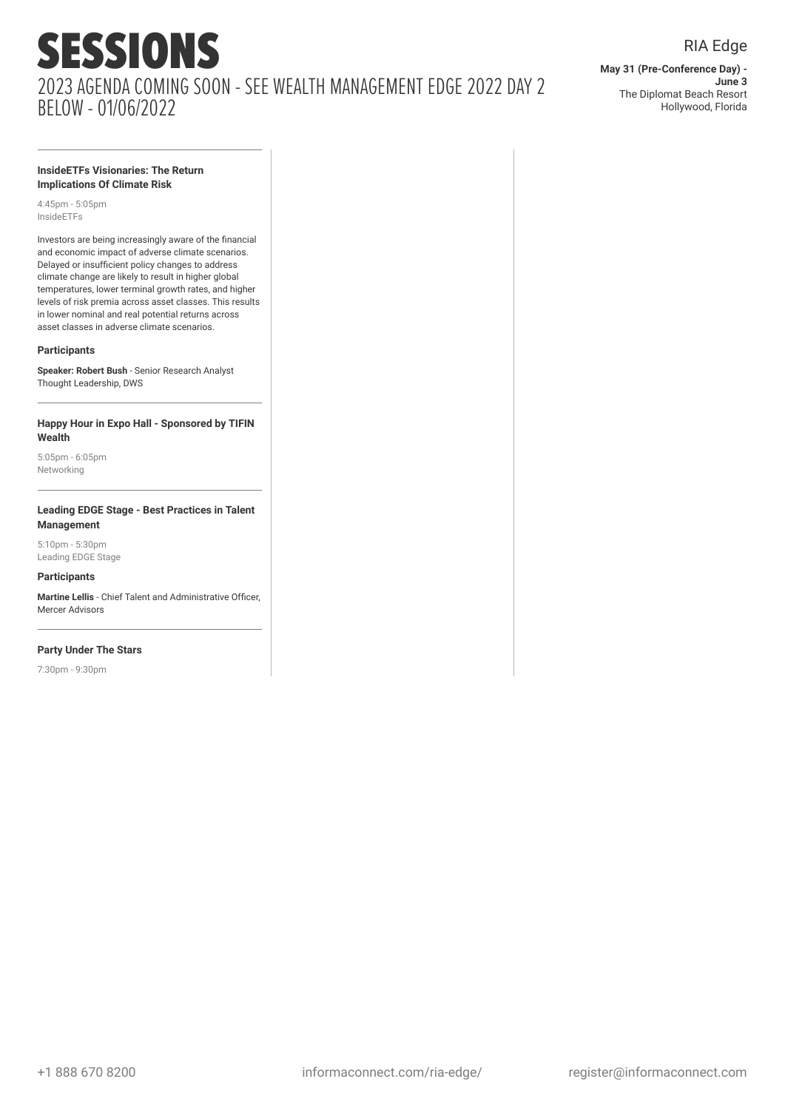**May 31 (Pre-Conference Day) - June 3** The Diplomat Beach Resort Hollywood, Florida

RIA Edge

#### **InsideETFs Visionaries: The Return Implications Of Climate Risk**

4:45pm - 5:05pm InsideETFs

Investors are being increasingly aware of the financial and economic impact of adverse climate scenarios. Delayed or insufficient policy changes to address climate change are likely to result in higher global temperatures, lower terminal growth rates, and higher levels of risk premia across asset classes. This results in lower nominal and real potential returns across asset classes in adverse climate scenarios.

#### **Participants**

**Speaker: Robert Bush** - Senior Research Analyst Thought Leadership, DWS

#### **Happy Hour in Expo Hall - Sponsored by TIFIN Wealth**

5:05pm - 6:05pm Networking

#### **Leading EDGE Stage - Best Practices in Talent Management**

5:10pm - 5:30pm Leading EDGE Stage

#### **Participants**

**Martine Lellis** - Chief Talent and Administrative Officer, Mercer Advisors

#### **Party Under The Stars**

7:30pm - 9:30pm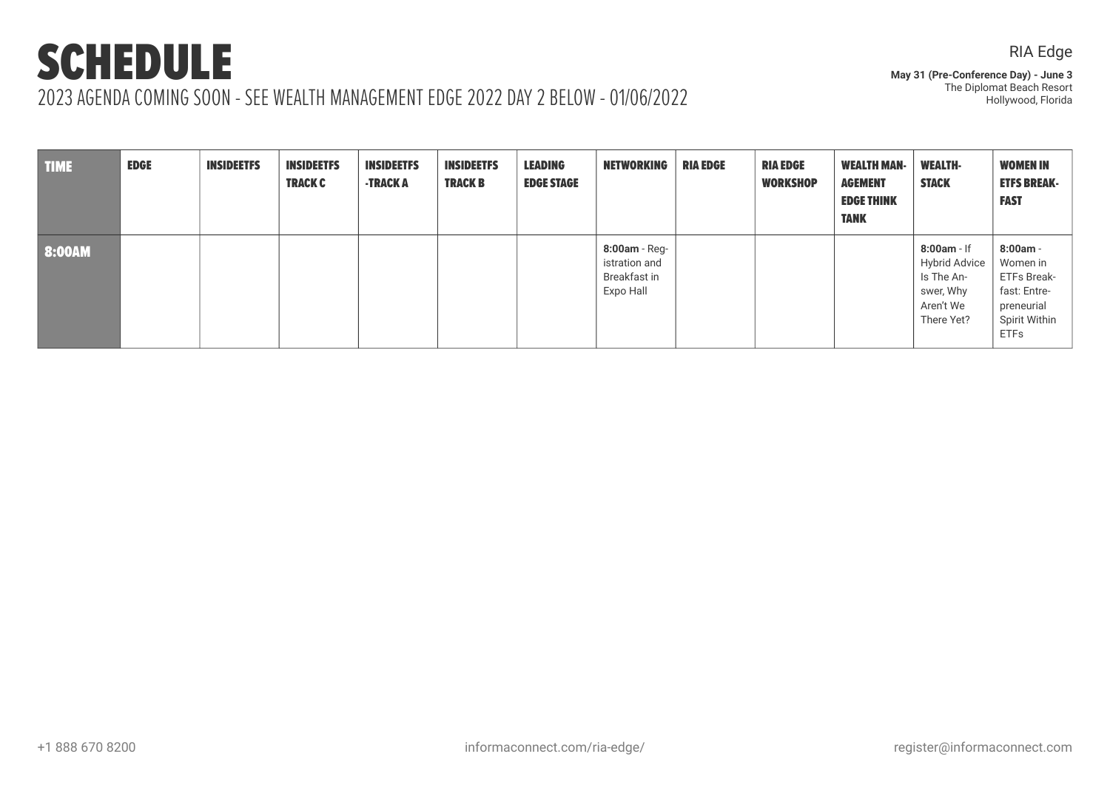**May 31 (Pre-Conference Day) - June 3** The Diplomat Beach Resort Hollywood, Florida

| <b>TIME</b> | <b>EDGE</b> | <b>INSIDEETFS</b> | <b>INSIDEETFS</b><br><b>TRACK C</b> | <b>INSIDEETFS</b><br><b>-TRACK A</b> | <b>INSIDEETFS</b><br><b>TRACK B</b> | <b>LEADING</b><br><b>EDGE STAGE</b> | <b>NETWORKING</b>                                             | <b>RIA EDGE</b> | <b>RIA EDGE</b><br><b>WORKSHOP</b> | <b>WEALTH MAN-</b><br><b>AGEMENT</b><br><b>EDGE THINK</b><br><b>TANK</b> | <b>WEALTH-</b><br><b>STACK</b>                                                              | <b>WOMEN IN</b><br><b>ETFS BREAK-</b><br><b>FAST</b>                                                |
|-------------|-------------|-------------------|-------------------------------------|--------------------------------------|-------------------------------------|-------------------------------------|---------------------------------------------------------------|-----------------|------------------------------------|--------------------------------------------------------------------------|---------------------------------------------------------------------------------------------|-----------------------------------------------------------------------------------------------------|
| 8:00AM      |             |                   |                                     |                                      |                                     |                                     | $8:00am$ - Reg-<br>istration and<br>Breakfast in<br>Expo Hall |                 |                                    |                                                                          | $8:00am - If$<br><b>Hybrid Advice</b><br>Is The An-<br>swer, Why<br>Aren't We<br>There Yet? | $8:00am -$<br>Women in<br>ETFs Break-<br>fast: Entre-<br>preneurial<br>Spirit Within<br><b>ETFs</b> |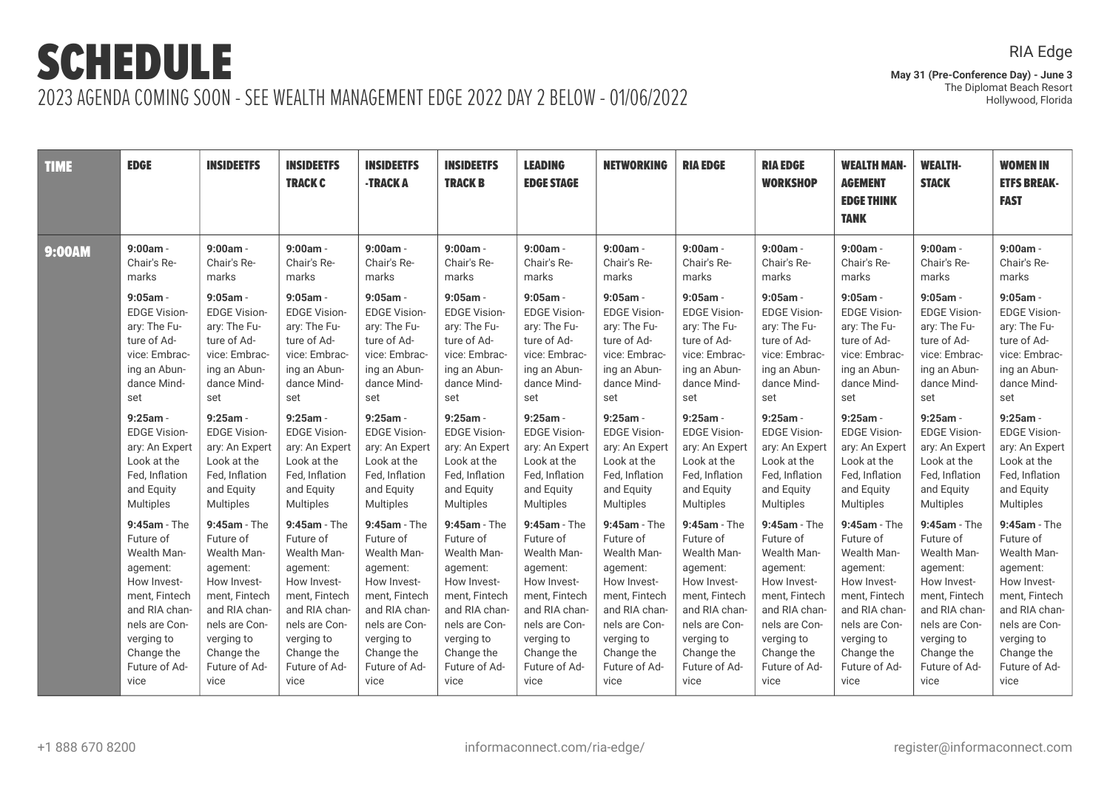**May 31 (Pre-Conference Day) - June 3** The Diplomat Beach Resort Hollywood, Florida

| <b>TIME</b> | <b>EDGE</b>         | <b>INSIDEETFS</b>   | <b>INSIDEETFS</b><br><b>TRACK C</b> | <b>INSIDEETFS</b><br>-TRACK A | <b>INSIDEETFS</b><br><b>TRACK B</b> | <b>LEADING</b><br><b>EDGE STAGE</b> | <b>NETWORKING</b>   | <b>RIA EDGE</b>     | <b>RIA EDGE</b><br><b>WORKSHOP</b> | <b>WEALTH MAN-</b><br><b>AGEMENT</b><br><b>EDGE THINK</b><br><b>TANK</b> | <b>WEALTH-</b><br><b>STACK</b> | <b>WOMEN IN</b><br><b>ETFS BREAK-</b><br><b>FAST</b> |
|-------------|---------------------|---------------------|-------------------------------------|-------------------------------|-------------------------------------|-------------------------------------|---------------------|---------------------|------------------------------------|--------------------------------------------------------------------------|--------------------------------|------------------------------------------------------|
| 9:00AM      | $9:00am -$          | $9:00am -$          | $9:00am -$                          | $9:00am -$                    | $9:00am -$                          | $9:00am -$                          | $9:00am -$          | $9:00am -$          | $9:00am -$                         | $9:00am -$                                                               | $9:00am -$                     | $9:00am -$                                           |
|             | Chair's Re-         | Chair's Re-         | Chair's Re-                         | Chair's Re-                   | Chair's Re-                         | Chair's Re-                         | Chair's Re-         | Chair's Re-         | Chair's Re-                        | Chair's Re-                                                              | Chair's Re-                    | Chair's Re-                                          |
|             | marks               | marks               | marks                               | marks                         | marks                               | marks                               | marks               | marks               | marks                              | marks                                                                    | marks                          | marks                                                |
|             | $9:05am -$          | $9:05$ am -         | $9:05$ am -                         | $9:05$ am -                   | $9:05$ am -                         | $9:05$ am -                         | $9:05$ am -         | $9:05am -$          | $9:05$ am -                        | $9:05$ am -                                                              | $9:05am -$                     | $9:05am -$                                           |
|             | <b>EDGE Vision-</b> | <b>EDGE Vision-</b> | <b>EDGE Vision-</b>                 | <b>EDGE Vision-</b>           | <b>EDGE Vision-</b>                 | <b>EDGE Vision-</b>                 | <b>EDGE Vision-</b> | <b>EDGE Vision-</b> | <b>EDGE Vision-</b>                | <b>EDGE Vision-</b>                                                      | <b>EDGE Vision-</b>            | <b>EDGE Vision-</b>                                  |
|             | ary: The Fu-        | ary: The Fu-        | ary: The Fu-                        | ary: The Fu-                  | ary: The Fu-                        | ary: The Fu-                        | ary: The Fu-        | ary: The Fu-        | ary: The Fu-                       | ary: The Fu-                                                             | ary: The Fu-                   | ary: The Fu-                                         |
|             | ture of Ad-         | ture of Ad-         | ture of Ad-                         | ture of Ad-                   | ture of Ad-                         | ture of Ad-                         | ture of Ad-         | ture of Ad-         | ture of Ad-                        | ture of Ad-                                                              | ture of Ad-                    | ture of Ad-                                          |
|             | vice: Embrac-       | vice: Embrac-       | vice: Embrac-                       | vice: Embrac-                 | vice: Embrac-                       | vice: Embrac-                       | vice: Embrac-       | vice: Embrac-       | vice: Embrac-                      | vice: Embrac-                                                            | vice: Embrac-                  | vice: Embrac-                                        |
|             | ing an Abun-        | ing an Abun-        | ing an Abun-                        | ing an Abun-                  | ing an Abun-                        | ing an Abun-                        | ing an Abun-        | ing an Abun-        | ing an Abun-                       | ing an Abun-                                                             | ing an Abun-                   | ing an Abun-                                         |
|             | dance Mind-         | dance Mind-         | dance Mind-                         | dance Mind-                   | dance Mind-                         | dance Mind-                         | dance Mind-         | dance Mind-         | dance Mind-                        | dance Mind-                                                              | dance Mind-                    | dance Mind-                                          |
|             | set                 | set                 | set                                 | set                           | set                                 | set                                 | set                 | set                 | set                                | set                                                                      | set                            | set                                                  |
|             | $9:25am -$          | $9:25am -$          | $9:25am -$                          | $9:25am -$                    | $9:25am -$                          | $9:25am -$                          | $9:25am -$          | $9:25am -$          | $9:25am -$                         | $9:25am -$                                                               | $9:25am -$                     | $9:25am -$                                           |
|             | <b>EDGE Vision-</b> | <b>EDGE Vision-</b> | <b>EDGE Vision-</b>                 | <b>EDGE Vision-</b>           | <b>EDGE Vision-</b>                 | <b>EDGE Vision-</b>                 | <b>EDGE Vision-</b> | <b>EDGE Vision-</b> | <b>EDGE Vision-</b>                | <b>EDGE Vision-</b>                                                      | <b>EDGE Vision-</b>            | <b>EDGE Vision-</b>                                  |
|             | ary: An Expert      | ary: An Expert      | ary: An Expert                      | ary: An Expert                | ary: An Expert                      | ary: An Expert                      | ary: An Expert      | ary: An Expert      | ary: An Expert                     | ary: An Expert                                                           | ary: An Expert                 | ary: An Expert                                       |
|             | Look at the         | Look at the         | Look at the                         | Look at the                   | Look at the                         | Look at the                         | Look at the         | Look at the         | Look at the                        | Look at the                                                              | Look at the                    | Look at the                                          |
|             | Fed, Inflation      | Fed, Inflation      | Fed, Inflation                      | Fed, Inflation                | Fed, Inflation                      | Fed, Inflation                      | Fed, Inflation      | Fed, Inflation      | Fed, Inflation                     | Fed, Inflation                                                           | Fed, Inflation                 | Fed, Inflation                                       |
|             | and Equity          | and Equity          | and Equity                          | and Equity                    | and Equity                          | and Equity                          | and Equity          | and Equity          | and Equity                         | and Equity                                                               | and Equity                     | and Equity                                           |
|             | <b>Multiples</b>    | Multiples           | <b>Multiples</b>                    | <b>Multiples</b>              | <b>Multiples</b>                    | <b>Multiples</b>                    | <b>Multiples</b>    | <b>Multiples</b>    | <b>Multiples</b>                   | <b>Multiples</b>                                                         | <b>Multiples</b>               | <b>Multiples</b>                                     |
|             | $9:45am - The$      | $9:45am - The$      | $9:45am - The$                      | $9:45am - The$                | 9:45am - The                        | $9:45am - The$                      | $9:45am - The$      | $9:45am - The$      | 9:45am - The                       | $9:45am - The$                                                           | $9:45am - The$                 | 9:45am - The                                         |
|             | Future of           | Future of           | Future of                           | Future of                     | Future of                           | Future of                           | Future of           | Future of           | Future of                          | Future of                                                                | Future of                      | Future of                                            |
|             | Wealth Man-         | Wealth Man-         | Wealth Man-                         | Wealth Man-                   | Wealth Man-                         | Wealth Man-                         | Wealth Man-         | Wealth Man-         | Wealth Man-                        | Wealth Man-                                                              | Wealth Man-                    | Wealth Man-                                          |
|             | agement:            | agement:            | agement:                            | agement:                      | agement:                            | agement:                            | agement:            | agement:            | agement:                           | agement:                                                                 | agement:                       | agement:                                             |
|             | How Invest-         | How Invest-         | How Invest-                         | How Invest-                   | How Invest-                         | How Invest-                         | How Invest-         | How Invest-         | How Invest-                        | How Invest-                                                              | How Invest-                    | How Invest-                                          |
|             | ment, Fintech       | ment. Fintech       | ment, Fintech                       | ment. Fintech                 | ment, Fintech                       | ment, Fintech                       | ment. Fintech       | ment, Fintech       | ment. Fintech                      | ment. Fintech                                                            | ment, Fintech                  | ment, Fintech                                        |
|             | and RIA chan-       | and RIA chan-       | and RIA chan-                       | and RIA chan-                 | and RIA chan-                       | and RIA chan-                       | and RIA chan-       | and RIA chan-       | and RIA chan-                      | and RIA chan-                                                            | and RIA chan-                  | and RIA chan-                                        |
|             | nels are Con-       | nels are Con-       | nels are Con-                       | nels are Con-                 | nels are Con-                       | nels are Con-                       | nels are Con-       | nels are Con-       | nels are Con-                      | nels are Con-                                                            | nels are Con-                  | nels are Con-                                        |
|             | verging to          | verging to          | verging to                          | verging to                    | verging to                          | verging to                          | verging to          | verging to          | verging to                         | verging to                                                               | verging to                     | verging to                                           |
|             | Change the          | Change the          | Change the                          | Change the                    | Change the                          | Change the                          | Change the          | Change the          | Change the                         | Change the                                                               | Change the                     | Change the                                           |
|             | Future of Ad-       | Future of Ad-       | Future of Ad-                       | Future of Ad-                 | Future of Ad-                       | Future of Ad-                       | Future of Ad-       | Future of Ad-       | Future of Ad-                      | Future of Ad-                                                            | Future of Ad-                  | Future of Ad-                                        |
|             | vice                | vice                | vice                                | vice                          | vice                                | vice                                | vice                | vice                | vice                               | vice                                                                     | vice                           | vice                                                 |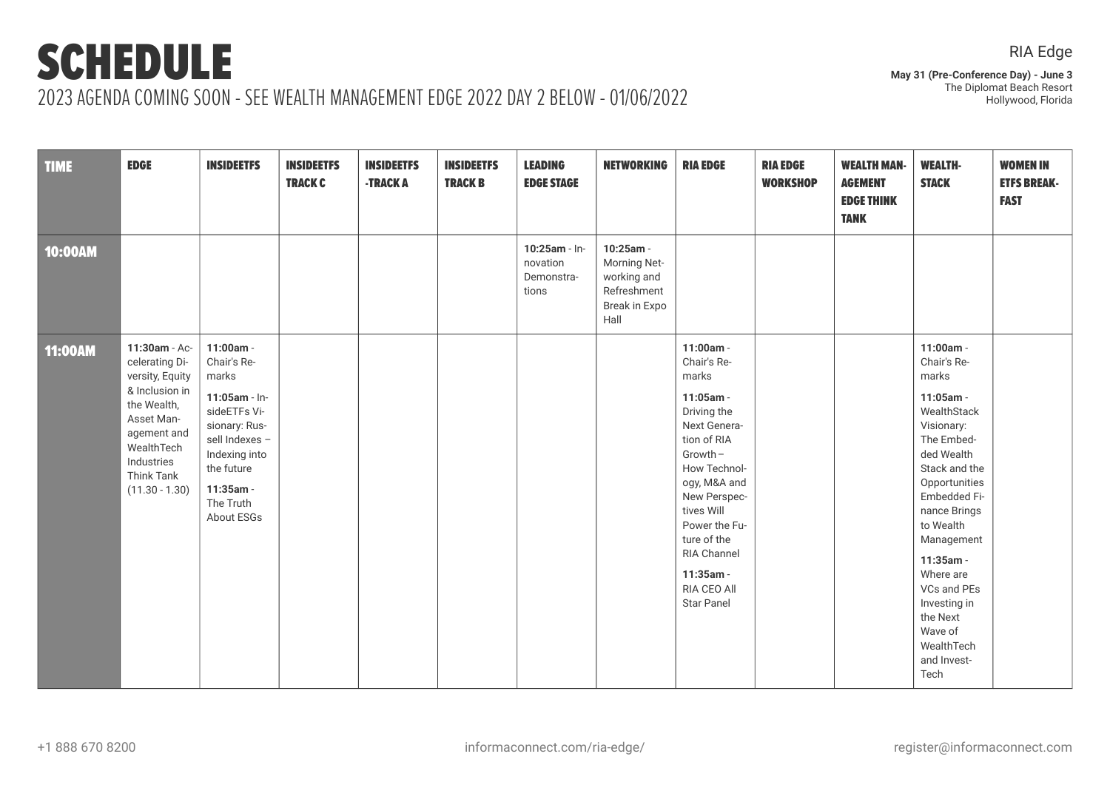**May 31 (Pre-Conference Day) - June 3** The Diplomat Beach Resort Hollywood, Florida

| <b>TIME</b> | <b>EDGE</b>                                                                                                                                                                           | <b>INSIDEETFS</b>                                                                                                                                                            | <b>INSIDEETFS</b><br><b>TRACK C</b> | <b>INSIDEETFS</b><br>-TRACK A | <b>INSIDEETFS</b><br><b>TRACK B</b> | <b>LEADING</b><br><b>EDGE STAGE</b>              | <b>NETWORKING</b>                                                                | <b>RIA EDGE</b>                                                                                                                                                                                                                                                          | <b>RIA EDGE</b><br><b>WORKSHOP</b> | <b>WEALTH MAN-</b><br><b>AGEMENT</b><br><b>EDGE THINK</b><br><b>TANK</b> | <b>WEALTH-</b><br><b>STACK</b>                                                                                                                                                                                                                                                                                            | <b>WOMEN IN</b><br><b>ETFS BREAK-</b><br><b>FAST</b> |
|-------------|---------------------------------------------------------------------------------------------------------------------------------------------------------------------------------------|------------------------------------------------------------------------------------------------------------------------------------------------------------------------------|-------------------------------------|-------------------------------|-------------------------------------|--------------------------------------------------|----------------------------------------------------------------------------------|--------------------------------------------------------------------------------------------------------------------------------------------------------------------------------------------------------------------------------------------------------------------------|------------------------------------|--------------------------------------------------------------------------|---------------------------------------------------------------------------------------------------------------------------------------------------------------------------------------------------------------------------------------------------------------------------------------------------------------------------|------------------------------------------------------|
| 10:00AM     |                                                                                                                                                                                       |                                                                                                                                                                              |                                     |                               |                                     | 10:25am - In-<br>novation<br>Demonstra-<br>tions | 10:25am -<br>Morning Net-<br>working and<br>Refreshment<br>Break in Expo<br>Hall |                                                                                                                                                                                                                                                                          |                                    |                                                                          |                                                                                                                                                                                                                                                                                                                           |                                                      |
| 11:00AM     | 11:30am - Ac-<br>celerating Di-<br>versity, Equity<br>& Inclusion in<br>the Wealth,<br>Asset Man-<br>agement and<br>WealthTech<br>Industries<br><b>Think Tank</b><br>$(11.30 - 1.30)$ | 11:00am -<br>Chair's Re-<br>marks<br>11:05am - In-<br>sideETFs Vi-<br>sionary: Rus-<br>sell Indexes -<br>Indexing into<br>the future<br>11:35am -<br>The Truth<br>About ESGs |                                     |                               |                                     |                                                  |                                                                                  | 11:00am -<br>Chair's Re-<br>marks<br>11:05am -<br>Driving the<br>Next Genera-<br>tion of RIA<br>$Growth -$<br>How Technol-<br>ogy, M&A and<br>New Perspec-<br>tives Will<br>Power the Fu-<br>ture of the<br>RIA Channel<br>11:35am -<br>RIA CEO All<br><b>Star Panel</b> |                                    |                                                                          | 11:00am -<br>Chair's Re-<br>marks<br>11:05am -<br>WealthStack<br>Visionary:<br>The Embed-<br>ded Wealth<br>Stack and the<br>Opportunities<br>Embedded Fi-<br>nance Brings<br>to Wealth<br>Management<br>11:35am -<br>Where are<br>VCs and PEs<br>Investing in<br>the Next<br>Wave of<br>WealthTech<br>and Invest-<br>Tech |                                                      |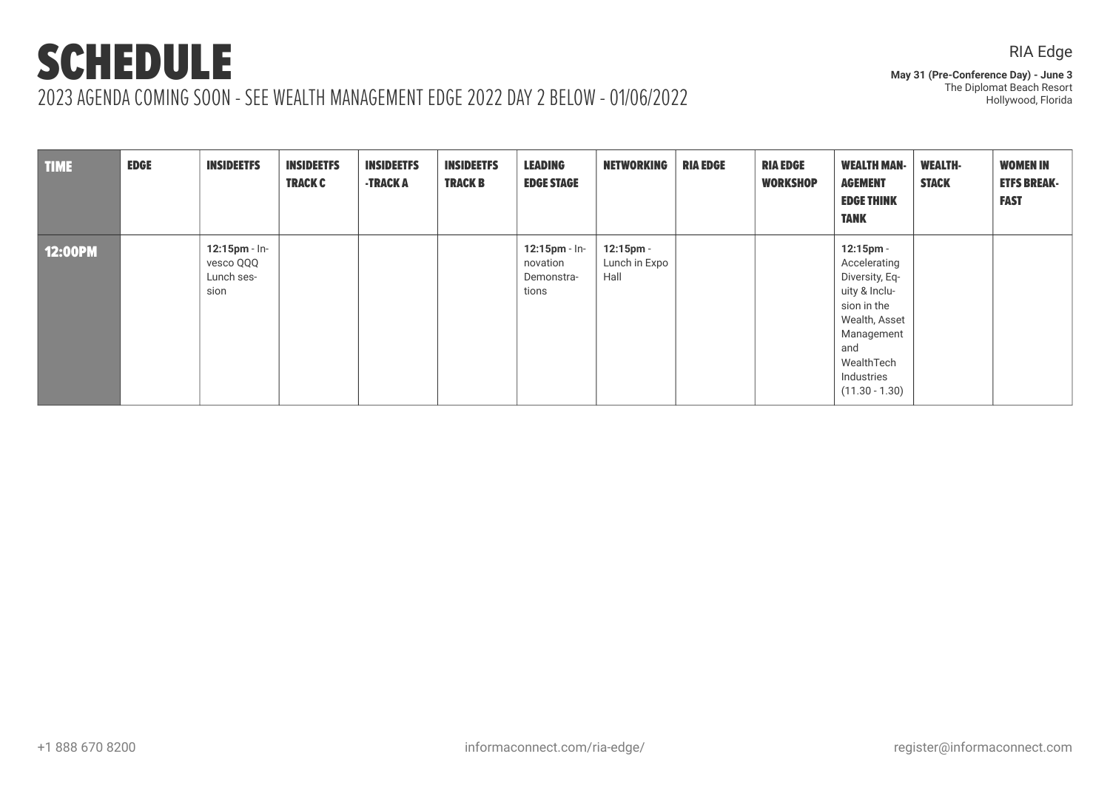### RIA Edge

**May 31 (Pre-Conference Day) - June 3** The Diplomat Beach Resort Hollywood, Florida

| <b>TIME</b>    | <b>EDGE</b> | <b>INSIDEETFS</b>                                   | <b>INSIDEETFS</b><br><b>TRACK C</b> | <b>INSIDEETFS</b><br><b>-TRACK A</b> | <b>INSIDEETFS</b><br><b>TRACK B</b> | LEADING<br><b>EDGE STAGE</b>                        | <b>NETWORKING</b>                  | <b>RIA EDGE</b> | <b>RIA EDGE</b><br><b>WORKSHOP</b> | <b>WEALTH MAN-</b><br><b>AGEMENT</b><br><b>EDGE THINK</b><br><b>TANK</b>                                                                                          | <b>WEALTH-</b><br><b>STACK</b> | <b>WOMEN IN</b><br><b>ETFS BREAK-</b><br><b>FAST</b> |
|----------------|-------------|-----------------------------------------------------|-------------------------------------|--------------------------------------|-------------------------------------|-----------------------------------------------------|------------------------------------|-----------------|------------------------------------|-------------------------------------------------------------------------------------------------------------------------------------------------------------------|--------------------------------|------------------------------------------------------|
| <b>12:00PM</b> |             | $12:15$ pm - In-<br>vesco QQQ<br>Lunch ses-<br>sion |                                     |                                      |                                     | $12:15$ pm - In-<br>novation<br>Demonstra-<br>tions | 12:15pm -<br>Lunch in Expo<br>Hall |                 |                                    | 12:15pm -<br>Accelerating<br>Diversity, Eq-<br>uity & Inclu-<br>sion in the<br>Wealth, Asset<br>Management<br>and<br>WealthTech<br>Industries<br>$(11.30 - 1.30)$ |                                |                                                      |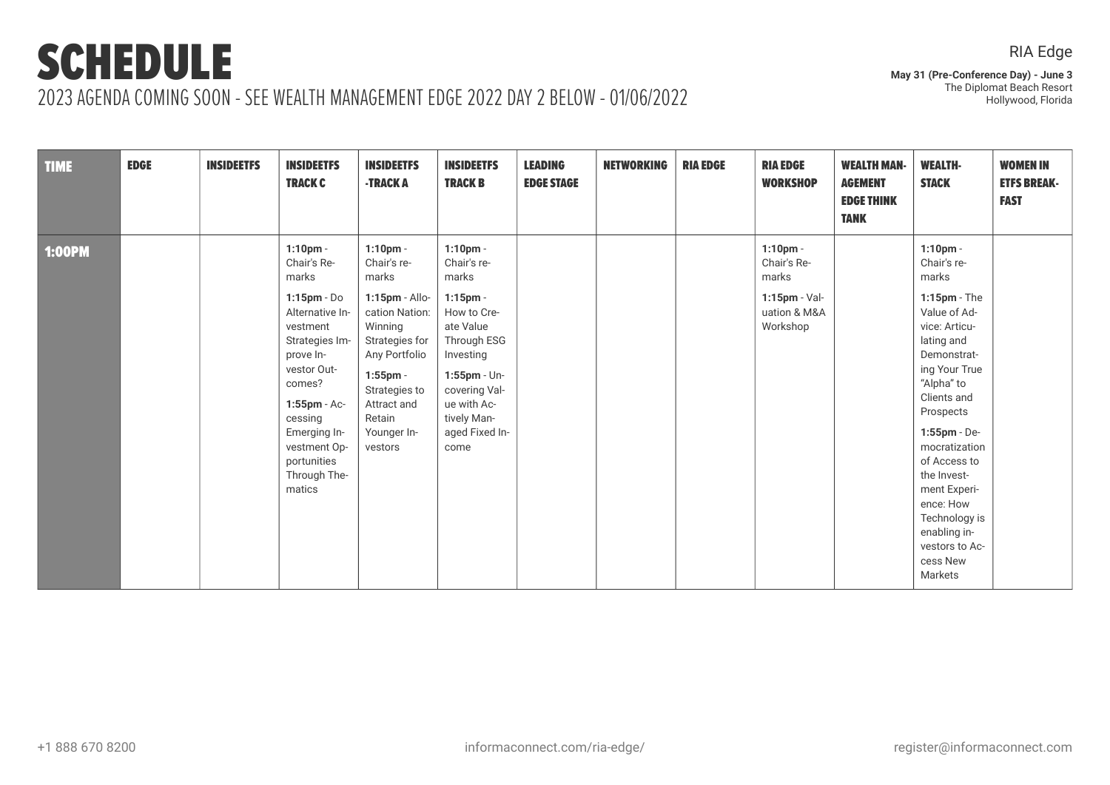**May 31 (Pre-Conference Day) - June 3** The Diplomat Beach Resort Hollywood, Florida

| <b>TIME</b>   | <b>EDGE</b> | <b>INSIDEETFS</b> | <b>INSIDEETFS</b><br><b>TRACK C</b>                                                                                                                                                                                                              | <b>INSIDEETFS</b><br><b>-TRACK A</b>                                                                                                                                                                       | <b>INSIDEETFS</b><br><b>TRACK B</b>                                                                                                                                                                    | <b>LEADING</b><br><b>EDGE STAGE</b> | <b>NETWORKING</b> | <b>RIA EDGE</b> | <b>RIA EDGE</b><br><b>WORKSHOP</b>                                               | <b>WEALTH MAN-</b><br><b>AGEMENT</b><br><b>EDGE THINK</b><br><b>TANK</b> | <b>WEALTH-</b><br><b>STACK</b>                                                                                                                                                                                                                                                                                                                         | <b>WOMEN IN</b><br><b>ETFS BREAK-</b><br><b>FAST</b> |
|---------------|-------------|-------------------|--------------------------------------------------------------------------------------------------------------------------------------------------------------------------------------------------------------------------------------------------|------------------------------------------------------------------------------------------------------------------------------------------------------------------------------------------------------------|--------------------------------------------------------------------------------------------------------------------------------------------------------------------------------------------------------|-------------------------------------|-------------------|-----------------|----------------------------------------------------------------------------------|--------------------------------------------------------------------------|--------------------------------------------------------------------------------------------------------------------------------------------------------------------------------------------------------------------------------------------------------------------------------------------------------------------------------------------------------|------------------------------------------------------|
| <b>1:00PM</b> |             |                   | $1:10$ pm -<br>Chair's Re-<br>marks<br>$1:15$ pm - Do<br>Alternative In-<br>vestment<br>Strategies Im-<br>prove In-<br>vestor Out-<br>comes?<br>1:55pm - Ac-<br>cessing<br>Emerging In-<br>vestment Op-<br>portunities<br>Through The-<br>matics | $1:10$ pm -<br>Chair's re-<br>marks<br>1:15pm - Allo-<br>cation Nation:<br>Winning<br>Strategies for<br>Any Portfolio<br>$1:55$ pm $-$<br>Strategies to<br>Attract and<br>Retain<br>Younger In-<br>vestors | $1:10$ pm -<br>Chair's re-<br>marks<br>$1:15$ pm -<br>How to Cre-<br>ate Value<br>Through ESG<br>Investing<br>$1:55$ pm - Un-<br>covering Val-<br>ue with Ac-<br>tively Man-<br>aged Fixed In-<br>come |                                     |                   |                 | $1:10$ pm -<br>Chair's Re-<br>marks<br>1:15pm - Val-<br>uation & M&A<br>Workshop |                                                                          | $1:10$ pm -<br>Chair's re-<br>marks<br>$1:15$ pm - The<br>Value of Ad-<br>vice: Articu-<br>lating and<br>Demonstrat-<br>ing Your True<br>"Alpha" to<br>Clients and<br>Prospects<br>1:55pm - De-<br>mocratization<br>of Access to<br>the Invest-<br>ment Experi-<br>ence: How<br>Technology is<br>enabling in-<br>vestors to Ac-<br>cess New<br>Markets |                                                      |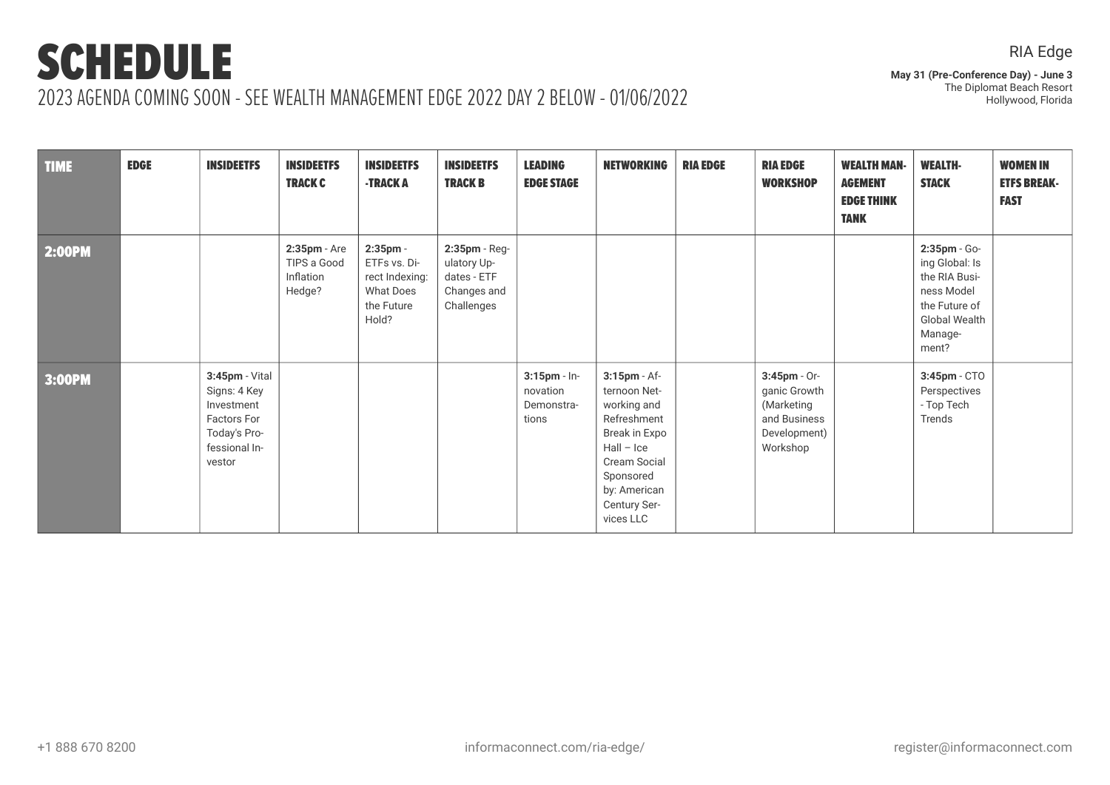**May 31 (Pre-Conference Day) - June 3** The Diplomat Beach Resort Hollywood, Florida

| <b>TIME</b> | <b>EDGE</b> | <b>INSIDEETFS</b>                                                                                             | <b>INSIDEETFS</b><br><b>TRACK C</b>                   | <b>INSIDEETFS</b><br>-TRACK A                                                            | <b>INSIDEETFS</b><br><b>TRACK B</b>                                      | <b>LEADING</b><br><b>EDGE STAGE</b>                | <b>NETWORKING</b>                                                                                                                                                            | <b>RIA EDGE</b> | <b>RIA EDGE</b><br><b>WORKSHOP</b>                                                        | <b>WEALTH MAN-</b><br><b>AGEMENT</b><br><b>EDGE THINK</b><br><b>TANK</b> | <b>WEALTH-</b><br><b>STACK</b>                                                                                             | <b>WOMEN IN</b><br><b>ETFS BREAK-</b><br><b>FAST</b> |
|-------------|-------------|---------------------------------------------------------------------------------------------------------------|-------------------------------------------------------|------------------------------------------------------------------------------------------|--------------------------------------------------------------------------|----------------------------------------------------|------------------------------------------------------------------------------------------------------------------------------------------------------------------------------|-----------------|-------------------------------------------------------------------------------------------|--------------------------------------------------------------------------|----------------------------------------------------------------------------------------------------------------------------|------------------------------------------------------|
| 2:00PM      |             |                                                                                                               | $2:35$ pm - Are<br>TIPS a Good<br>Inflation<br>Hedge? | $2:35$ pm -<br>ETFs vs. Di-<br>rect Indexing:<br><b>What Does</b><br>the Future<br>Hold? | 2:35pm - Reg-<br>ulatory Up-<br>dates - ETF<br>Changes and<br>Challenges |                                                    |                                                                                                                                                                              |                 |                                                                                           |                                                                          | 2:35pm - Go-<br>ing Global: Is<br>the RIA Busi-<br>ness Model<br>the Future of<br><b>Global Wealth</b><br>Manage-<br>ment? |                                                      |
| 3:00PM      |             | 3:45pm - Vital<br>Signs: 4 Key<br>Investment<br><b>Factors For</b><br>Today's Pro-<br>fessional In-<br>vestor |                                                       |                                                                                          |                                                                          | $3:15$ pm - In-<br>novation<br>Demonstra-<br>tions | 3:15pm - Af-<br>ternoon Net-<br>working and<br>Refreshment<br>Break in Expo<br>$Hall - Ice$<br><b>Cream Social</b><br>Sponsored<br>by: American<br>Century Ser-<br>vices LLC |                 | $3:45$ pm - Or-<br>ganic Growth<br>(Marketing<br>and Business<br>Development)<br>Workshop |                                                                          | 3:45pm - CTO<br>Perspectives<br>- Top Tech<br>Trends                                                                       |                                                      |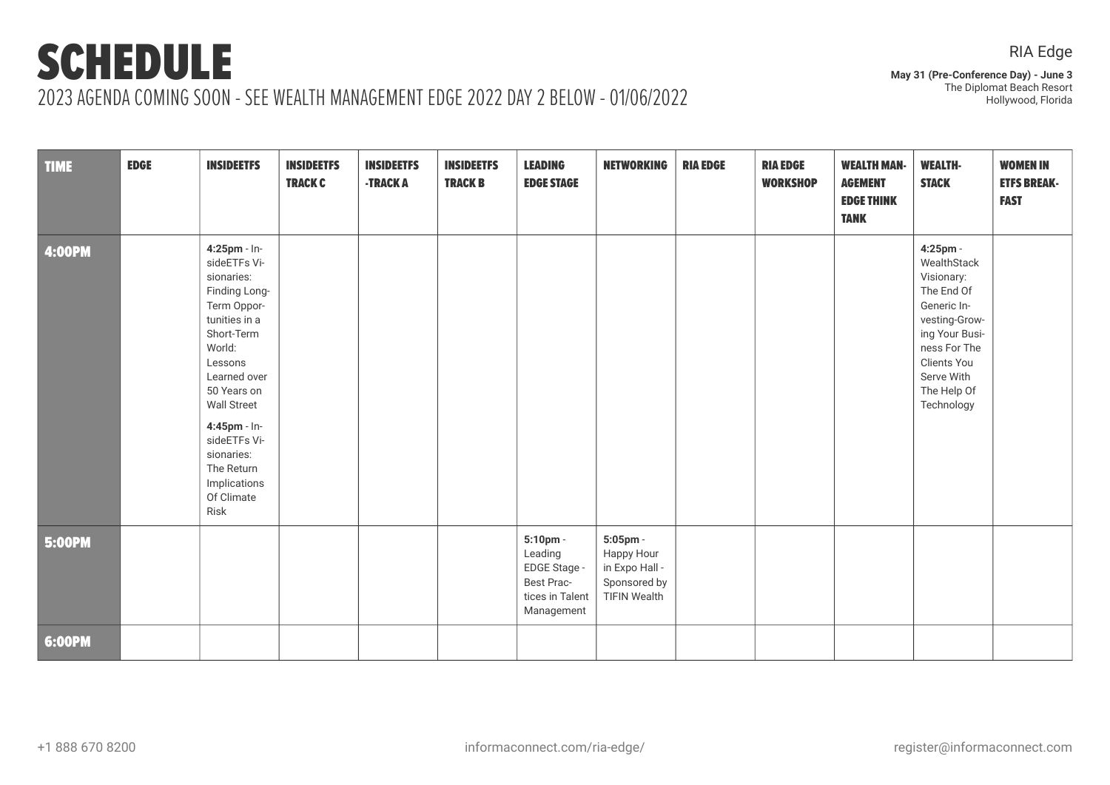**May 31 (Pre-Conference Day) - June 3** The Diplomat Beach Resort Hollywood, Florida

| <b>TIME</b>   | <b>EDGE</b> | <b>INSIDEETFS</b>                                                                                                                                                                                                                                                                     | <b>INSIDEETFS</b><br><b>TRACK C</b> | <b>INSIDEETFS</b><br>-TRACK A | <b>INSIDEETFS</b><br><b>TRACK B</b> | <b>LEADING</b><br><b>EDGE STAGE</b>                                                | <b>NETWORKING</b>                                                               | <b>RIA EDGE</b> | <b>RIA EDGE</b><br><b>WORKSHOP</b> | <b>WEALTH MAN-</b><br><b>AGEMENT</b><br><b>EDGE THINK</b><br><b>TANK</b> | <b>WEALTH-</b><br><b>STACK</b>                                                                                                                                                  | <b>WOMEN IN</b><br><b>ETFS BREAK-</b><br><b>FAST</b> |
|---------------|-------------|---------------------------------------------------------------------------------------------------------------------------------------------------------------------------------------------------------------------------------------------------------------------------------------|-------------------------------------|-------------------------------|-------------------------------------|------------------------------------------------------------------------------------|---------------------------------------------------------------------------------|-----------------|------------------------------------|--------------------------------------------------------------------------|---------------------------------------------------------------------------------------------------------------------------------------------------------------------------------|------------------------------------------------------|
| <b>4:00PM</b> |             | 4:25pm - In-<br>sideETFs Vi-<br>sionaries:<br>Finding Long-<br>Term Oppor-<br>tunities in a<br>Short-Term<br>World:<br>Lessons<br>Learned over<br>50 Years on<br><b>Wall Street</b><br>4:45pm - In-<br>sideETFs Vi-<br>sionaries:<br>The Return<br>Implications<br>Of Climate<br>Risk |                                     |                               |                                     |                                                                                    |                                                                                 |                 |                                    |                                                                          | 4:25pm -<br>WealthStack<br>Visionary:<br>The End Of<br>Generic In-<br>vesting-Grow-<br>ing Your Busi-<br>ness For The<br>Clients You<br>Serve With<br>The Help Of<br>Technology |                                                      |
| <b>5:00PM</b> |             |                                                                                                                                                                                                                                                                                       |                                     |                               |                                     | 5:10pm -<br>Leading<br>EDGE Stage -<br>Best Prac-<br>tices in Talent<br>Management | 5:05pm -<br>Happy Hour<br>in Expo Hall -<br>Sponsored by<br><b>TIFIN Wealth</b> |                 |                                    |                                                                          |                                                                                                                                                                                 |                                                      |
| 6:00PM        |             |                                                                                                                                                                                                                                                                                       |                                     |                               |                                     |                                                                                    |                                                                                 |                 |                                    |                                                                          |                                                                                                                                                                                 |                                                      |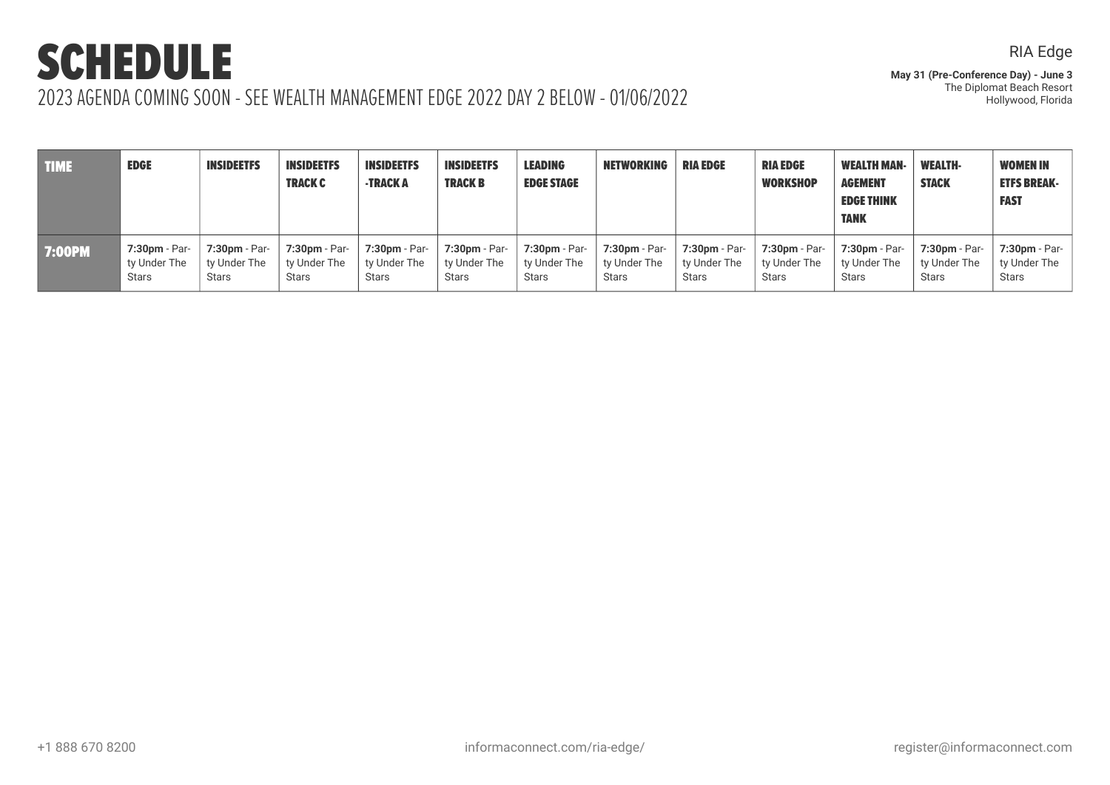RIA Edge

| <b>TIME</b>   | <b>EDGE</b>     | <b>INSIDEETFS</b> | <b>INSIDEETFS</b><br><b>TRACK C</b> | <b>INSIDEETFS</b><br>-TRACK A | <b>INSIDEETFS</b><br><b>TRACK B</b> | <b>LEADING</b><br><b>EDGE STAGE</b> | <b>NETWORKING</b>    | <b>RIA EDGE</b> | <b>RIA EDGE</b><br><b>WORKSHOP</b> | <b>WEALTH MAN-</b><br><b>AGEMENT</b><br><b>EDGE THINK</b><br><b>TANK</b> | <b>WEALTH-</b><br><b>STACK</b> | <b>WOMEN IN</b><br><b>ETFS BREAK-</b><br><b>FAST</b> |
|---------------|-----------------|-------------------|-------------------------------------|-------------------------------|-------------------------------------|-------------------------------------|----------------------|-----------------|------------------------------------|--------------------------------------------------------------------------|--------------------------------|------------------------------------------------------|
| <b>7:00PM</b> | $7:30pm - Par-$ | 7:30pm - Par-     | 7:30pm - Par-                       | <b>7:30pm - Par-</b>          | 7:30pm - Par-                       | 7:30pm - Par-                       | <b>7:30pm - Par-</b> | 7:30pm - Par-   | 7:30pm - Par-                      | 7:30pm - Par-                                                            | 7:30pm - Par-                  | 7:30pm - Par-                                        |
|               | ty Under The    | ty Under The      | ty Under The                        | ty Under The                  | ty Under The                        | ty Under The                        | ty Under The         | ty Under The    | ty Under The                       | tv Under The                                                             | ty Under The                   | ty Under The                                         |
|               | <b>Stars</b>    | <b>Stars</b>      | <b>Stars</b>                        | <b>Stars</b>                  | <b>Stars</b>                        | <b>Stars</b>                        | Stars                | Stars           | <b>Stars</b>                       | <b>Stars</b>                                                             | Stars                          | Stars                                                |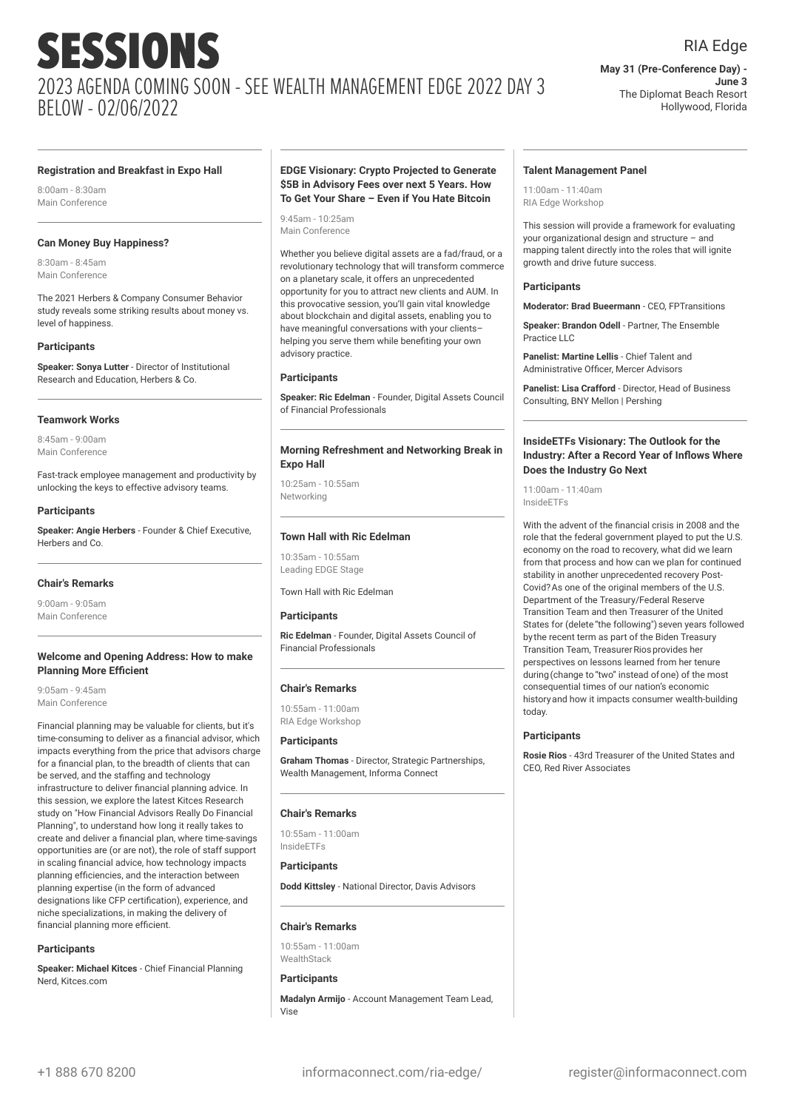### RIA Edge

**May 31 (Pre-Conference Day) - June 3** The Diplomat Beach Resort Hollywood, Florida

#### **Registration and Breakfast in Expo Hall**

8:00am - 8:30am Main Conference

#### **Can Money Buy Happiness?**

8:30am - 8:45am Main Conference

The 2021 Herbers & Company Consumer Behavior study reveals some striking results about money vs. level of happiness.

#### **Participants**

**Speaker: Sonya Lutter** - Director of Institutional Research and Education, Herbers & Co.

#### **Teamwork Works**

8:45am - 9:00am Main Conference

Fast-track employee management and productivity by unlocking the keys to effective advisory teams.

#### **Participants**

**Speaker: Angie Herbers** - Founder & Chief Executive, Herbers and Co.

#### **Chair's Remarks**

9:00am - 9:05am Main Conference

#### **Welcome and Opening Address: How to make Planning More Efficient**

9:05am - 9:45am Main Conference

Financial planning may be valuable for clients, but it's time-consuming to deliver as a financial advisor, which impacts everything from the price that advisors charge for a financial plan, to the breadth of clients that can be served, and the staffing and technology infrastructure to deliver financial planning advice. In this session, we explore the latest Kitces Research study on "How Financial Advisors Really Do Financial Planning", to understand how long it really takes to create and deliver a financial plan, where time-savings opportunities are (or are not), the role of staff support in scaling financial advice, how technology impacts planning efficiencies, and the interaction between planning expertise (in the form of advanced designations like CFP certification), experience, and niche specializations, in making the delivery of financial planning more efficient.

#### **Participants**

**Speaker: Michael Kitces** - Chief Financial Planning Nerd, Kitces.com

#### **EDGE Visionary: Crypto Projected to Generate \$5B in Advisory Fees over next 5 Years. How To Get Your Share – Even if You Hate Bitcoin**

9:45am - 10:25am Main Conference

Whether you believe digital assets are a fad/fraud, or a revolutionary technology that will transform commerce on a planetary scale, it offers an unprecedented opportunity for you to attract new clients and AUM. In this provocative session, you'll gain vital knowledge about blockchain and digital assets, enabling you to have meaningful conversations with your clients– helping you serve them while benefiting your own advisory practice.

#### **Participants**

**Speaker: Ric Edelman** - Founder, Digital Assets Council of Financial Professionals

#### **Morning Refreshment and Networking Break in Expo Hall**

10:25am - 10:55am Networking

#### **Town Hall with Ric Edelman**

10:35am - 10:55am Leading EDGE Stage

Town Hall with Ric Edelman

#### **Participants**

**Ric Edelman** - Founder, Digital Assets Council of Financial Professionals

#### **Chair's Remarks**

10:55am - 11:00am RIA Edge Workshop

#### **Participants**

**Graham Thomas** - Director, Strategic Partnerships, Wealth Management, Informa Connect

#### **Chair's Remarks**

10:55am - 11:00am InsideETFs

#### **Participants**

**Dodd Kittsley** - National Director, Davis Advisors

#### **Chair's Remarks**

10:55am - 11:00am WealthStack

#### **Participants**

**Madalyn Armijo** - Account Management Team Lead, Vise

#### **Talent Management Panel**

11:00am - 11:40am RIA Edge Workshop

This session will provide a framework for evaluating your organizational design and structure – and mapping talent directly into the roles that will ignite growth and drive future success.

#### **Participants**

**Moderator: Brad Bueermann** - CEO, FPTransitions

**Speaker: Brandon Odell** - Partner, The Ensemble Practice LLC

**Panelist: Martine Lellis** - Chief Talent and Administrative Officer, Mercer Advisors

**Panelist: Lisa Crafford** - Director, Head of Business Consulting, BNY Mellon | Pershing

#### **InsideETFs Visionary: The Outlook for the Industry: After a Record Year of Inflows Where Does the Industry Go Next**

11:00am - 11:40am InsideETFs

With the advent of the financial crisis in 2008 and the role that the federal government played to put the U.S. economy on the road to recovery, what did we learn from that process and how can we plan for continued stability in another unprecedented recovery Post-Covid?As one of the original members of the U.S. Department of the Treasury/Federal Reserve Transition Team and then Treasurer of the United States for (delete "the following") seven years followed by the recent term as part of the Biden Treasury Transition Team, Treasurer Rios provides her perspectives on lessons learned from her tenure during(change to"two" instead ofone) of the most consequential times of our nation's economic historyand how it impacts consumer wealth-building today.

#### **Participants**

**Rosie Rios** - 43rd Treasurer of the United States and CEO, Red River Associates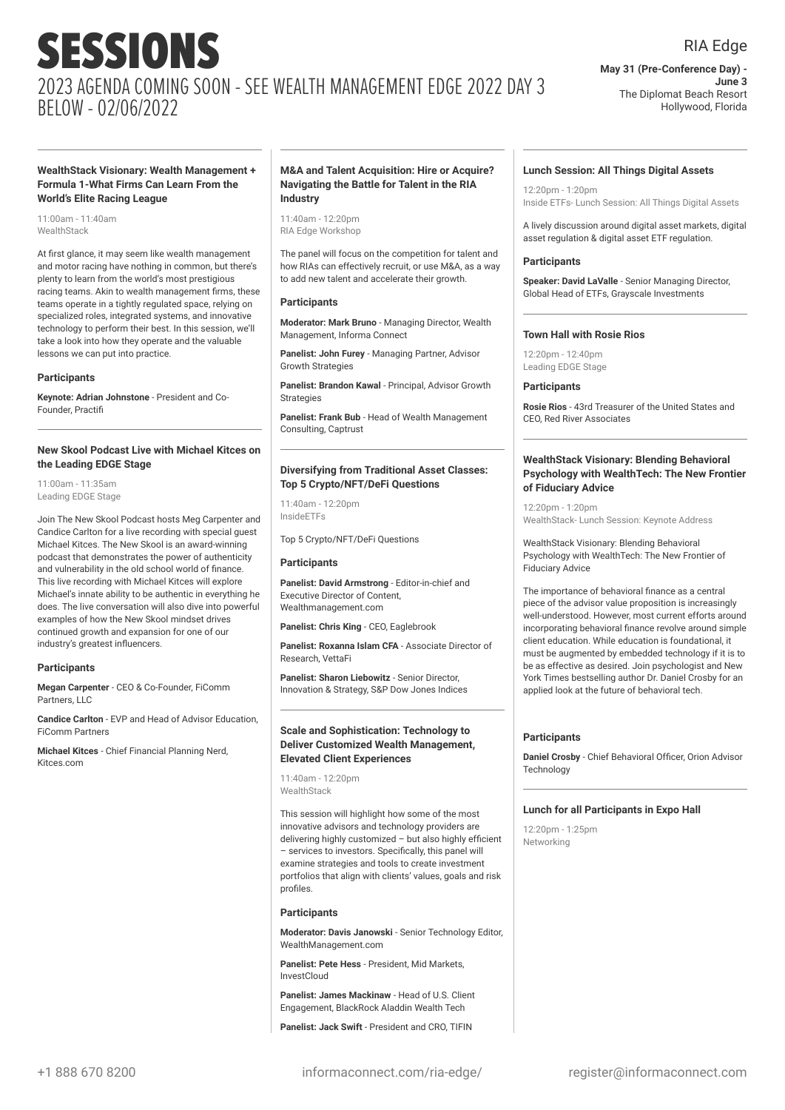**May 31 (Pre-Conference Day) - June 3** The Diplomat Beach Resort Hollywood, Florida

#### **WealthStack Visionary: Wealth Management + Formula 1-What Firms Can Learn From the World's Elite Racing League**

11:00am - 11:40am **WealthStack** 

At first glance, it may seem like wealth management and motor racing have nothing in common, but there's plenty to learn from the world's most prestigious racing teams. Akin to wealth management firms, these teams operate in a tightly regulated space, relying on specialized roles, integrated systems, and innovative technology to perform their best. In this session, we'll take a look into how they operate and the valuable lessons we can put into practice.

#### **Participants**

**Keynote: Adrian Johnstone** - President and Co-Founder, Practifi

#### **New Skool Podcast Live with Michael Kitces on the Leading EDGE Stage**

11:00am - 11:35am Leading EDGE Stage

Join The New Skool Podcast hosts Meg Carpenter and Candice Carlton for a live recording with special guest Michael Kitces. The New Skool is an award-winning podcast that demonstrates the power of authenticity and vulnerability in the old school world of finance. This live recording with Michael Kitces will explore Michael's innate ability to be authentic in everything he does. The live conversation will also dive into powerful examples of how the New Skool mindset drives continued growth and expansion for one of our industry's greatest influencers.

#### **Participants**

**Megan Carpenter** - CEO & Co-Founder, FiComm Partners, LLC

**Candice Carlton** - EVP and Head of Advisor Education, FiComm Partners

**Michael Kitces** - Chief Financial Planning Nerd, Kitces.com

#### **M&A and Talent Acquisition: Hire or Acquire? Navigating the Battle for Talent in the RIA Industry**

11:40am - 12:20pm RIA Edge Workshop

The panel will focus on the competition for talent and how RIAs can effectively recruit, or use M&A, as a way to add new talent and accelerate their growth.

#### **Participants**

**Moderator: Mark Bruno** - Managing Director, Wealth Management, Informa Connect

**Panelist: John Furey** - Managing Partner, Advisor Growth Strategies

**Panelist: Brandon Kawal** - Principal, Advisor Growth **Strategies** 

**Panelist: Frank Bub** - Head of Wealth Management Consulting, Captrust

#### **Diversifying from Traditional Asset Classes: Top 5 Crypto/NFT/DeFi Questions**

 $11:40$ am - 12:20pm InsideETFs

Top 5 Crypto/NFT/DeFi Questions

#### **Participants**

**Panelist: David Armstrong** - Editor-in-chief and Executive Director of Content, Wealthmanagement.com

**Panelist: Chris King** - CEO, Eaglebrook

**Panelist: Roxanna Islam CFA** - Associate Director of Research, VettaFi

**Panelist: Sharon Liebowitz** - Senior Director, Innovation & Strategy, S&P Dow Jones Indices

#### **Scale and Sophistication: Technology to Deliver Customized Wealth Management, Elevated Client Experiences**

11:40am - 12:20pm **WealthStack** 

This session will highlight how some of the most innovative advisors and technology providers are delivering highly customized – but also highly efficient – services to investors. Specifically, this panel will examine strategies and tools to create investment portfolios that align with clients' values, goals and risk profiles.

#### **Participants**

**Moderator: Davis Janowski** - Senior Technology Editor, WealthManagement.com

**Panelist: Pete Hess** - President, Mid Markets, InvestCloud

**Panelist: James Mackinaw** - Head of U.S. Client Engagement, BlackRock Aladdin Wealth Tech

**Panelist: Jack Swift** - President and CRO, TIFIN

#### **Lunch Session: All Things Digital Assets**

 $12:20$ pm - 1:20pm Inside ETFs- Lunch Session: All Things Digital Assets

A lively discussion around digital asset markets, digital asset regulation & digital asset ETF regulation.

#### **Participants**

**Speaker: David LaValle** - Senior Managing Director, Global Head of ETFs, Grayscale Investments

#### **Town Hall with Rosie Rios**

12:20pm - 12:40pm Leading EDGE Stage

#### **Participants**

**Rosie Rios** - 43rd Treasurer of the United States and CEO, Red River Associates

#### **WealthStack Visionary: Blending Behavioral Psychology with WealthTech: The New Frontier of Fiduciary Advice**

12:20pm - 1:20pm WealthStack- Lunch Session: Keynote Address

WealthStack Visionary: Blending Behavioral Psychology with WealthTech: The New Frontier of Fiduciary Advice

The importance of behavioral finance as a central piece of the advisor value proposition is increasingly well-understood. However, most current efforts around incorporating behavioral finance revolve around simple client education. While education is foundational, it must be augmented by embedded technology if it is to be as effective as desired. Join psychologist and New York Times bestselling author Dr. Daniel Crosby for an applied look at the future of behavioral tech.

#### **Participants**

**Daniel Crosby** - Chief Behavioral Officer, Orion Advisor **Technology** 

#### **Lunch for all Participants in Expo Hall**

12:20pm - 1:25pm Networking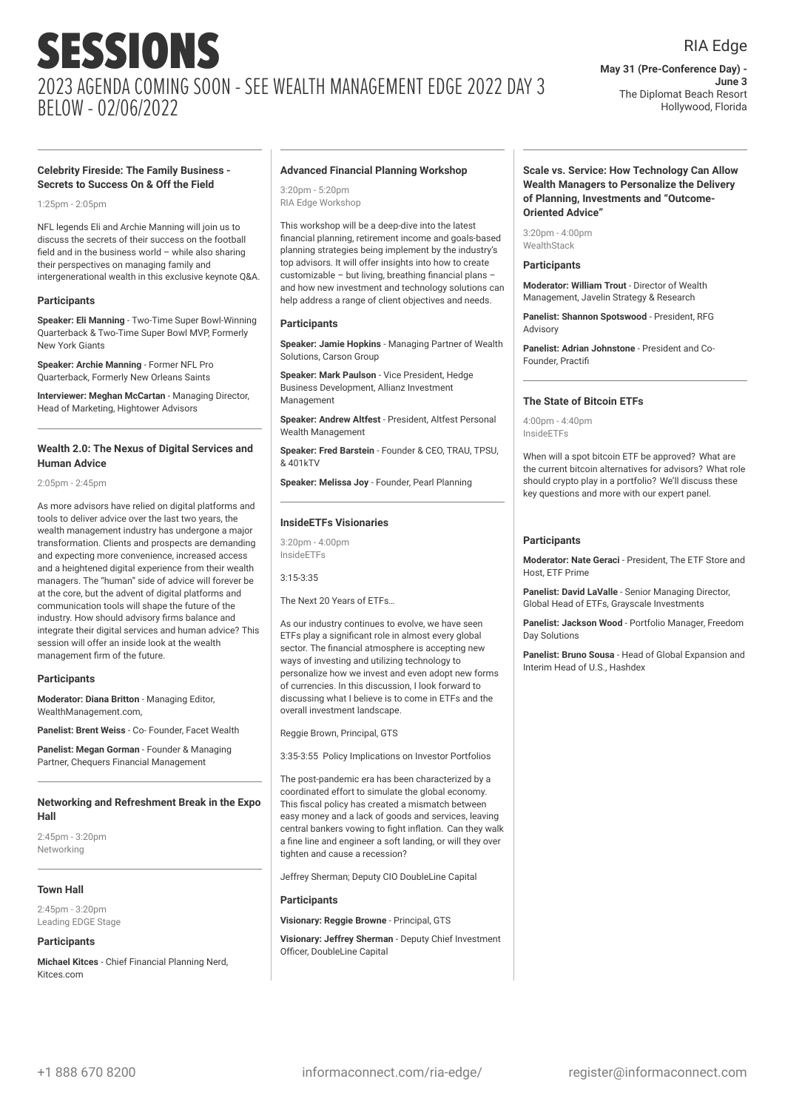### RIA Edge

**May 31 (Pre-Conference Day) - June 3** The Diplomat Beach Resort Hollywood, Florida

#### **Celebrity Fireside: The Family Business - Secrets to Success On & Off the Field**

 $1:25$ pm -  $2:05$ pm

NFL legends Eli and Archie Manning will join us to discuss the secrets of their success on the football field and in the business world – while also sharing their perspectives on managing family and intergenerational wealth in this exclusive keynote Q&A.

#### **Participants**

**Speaker: Eli Manning** - Two-Time Super Bowl-Winning Quarterback & Two-Time Super Bowl MVP, Formerly New York Giants

**Speaker: Archie Manning** - Former NFL Pro Quarterback, Formerly New Orleans Saints

**Interviewer: Meghan McCartan** - Managing Director, Head of Marketing, Hightower Advisors

#### **Wealth 2.0: The Nexus of Digital Services and Human Advice**

2:05pm - 2:45pm

As more advisors have relied on digital platforms and tools to deliver advice over the last two years, the wealth management industry has undergone a major transformation. Clients and prospects are demanding and expecting more convenience, increased access and a heightened digital experience from their wealth managers. The "human" side of advice will forever be at the core, but the advent of digital platforms and communication tools will shape the future of the industry. How should advisory firms balance and integrate their digital services and human advice? This session will offer an inside look at the wealth management firm of the future.

#### **Participants**

**Moderator: Diana Britton** - Managing Editor, WealthManagement.com

**Panelist: Brent Weiss** - Co- Founder, Facet Wealth

**Panelist: Megan Gorman** - Founder & Managing Partner, Chequers Financial Management

#### **Networking and Refreshment Break in the Expo Hall**

2:45pm - 3:20pm Networking

#### **Town Hall**

2:45pm - 3:20pm Leading EDGE Stage

#### **Participants**

**Michael Kitces** - Chief Financial Planning Nerd, Kitces.com

#### **Advanced Financial Planning Workshop**

 $3:20$ pm - 5:20pm RIA Edge Workshop

This workshop will be a deep-dive into the latest financial planning, retirement income and goals-based planning strategies being implement by the industry's top advisors. It will offer insights into how to create customizable – but living, breathing financial plans – and how new investment and technology solutions can help address a range of client objectives and needs.

#### **Participants**

**Speaker: Jamie Hopkins** - Managing Partner of Wealth Solutions, Carson Group

**Speaker: Mark Paulson** - Vice President, Hedge Business Development, Allianz Investment Management

**Speaker: Andrew Altfest** - President, Altfest Personal Wealth Management

**Speaker: Fred Barstein** - Founder & CEO, TRAU, TPSU, & 401kTV

**Speaker: Melissa Joy** - Founder, Pearl Planning

#### **InsideETFs Visionaries**

 $3:20$ pm - 4:00pm InsideETFs

3:15-3:35

The Next 20 Years of ETFs…

As our industry continues to evolve, we have seen ETFs play a significant role in almost every global sector. The financial atmosphere is accepting new ways of investing and utilizing technology to personalize how we invest and even adopt new forms of currencies. In this discussion, I look forward to discussing what I believe is to come in ETFs and the overall investment landscape.

Reggie Brown, Principal, GTS

3:35-3:55 Policy Implications on Investor Portfolios

The post-pandemic era has been characterized by a coordinated effort to simulate the global economy. This fiscal policy has created a mismatch between easy money and a lack of goods and services, leaving central bankers vowing to fight inflation. Can they walk a fine line and engineer a soft landing, or will they over tighten and cause a recession?

Jeffrey Sherman; Deputy CIO DoubleLine Capital

#### **Participants**

**Visionary: Reggie Browne** - Principal, GTS

**Visionary: Jeffrey Sherman** - Deputy Chief Investment Officer, DoubleLine Capital

#### **Scale vs. Service: How Technology Can Allow Wealth Managers to Personalize the Delivery of Planning, Investments and "Outcome-Oriented Advice"**

3:20pm - 4:00pm **WealthStack** 

#### **Participants**

**Moderator: William Trout** - Director of Wealth Management, Javelin Strategy & Research

**Panelist: Shannon Spotswood** - President, RFG Advisory

**Panelist: Adrian Johnstone** - President and Co-Founder, Practifi

#### **The State of Bitcoin ETFs**

4:00pm - 4:40pm InsideETFs

When will a spot bitcoin ETF be approved? What are the current bitcoin alternatives for advisors? What role should crypto play in a portfolio? We'll discuss these key questions and more with our expert panel.

#### **Participants**

**Moderator: Nate Geraci** - President, The ETF Store and Host, ETF Prime

**Panelist: David LaValle** - Senior Managing Director, Global Head of ETFs, Grayscale Investments

**Panelist: Jackson Wood** - Portfolio Manager, Freedom Day Solutions

**Panelist: Bruno Sousa** - Head of Global Expansion and Interim Head of U.S., Hashdex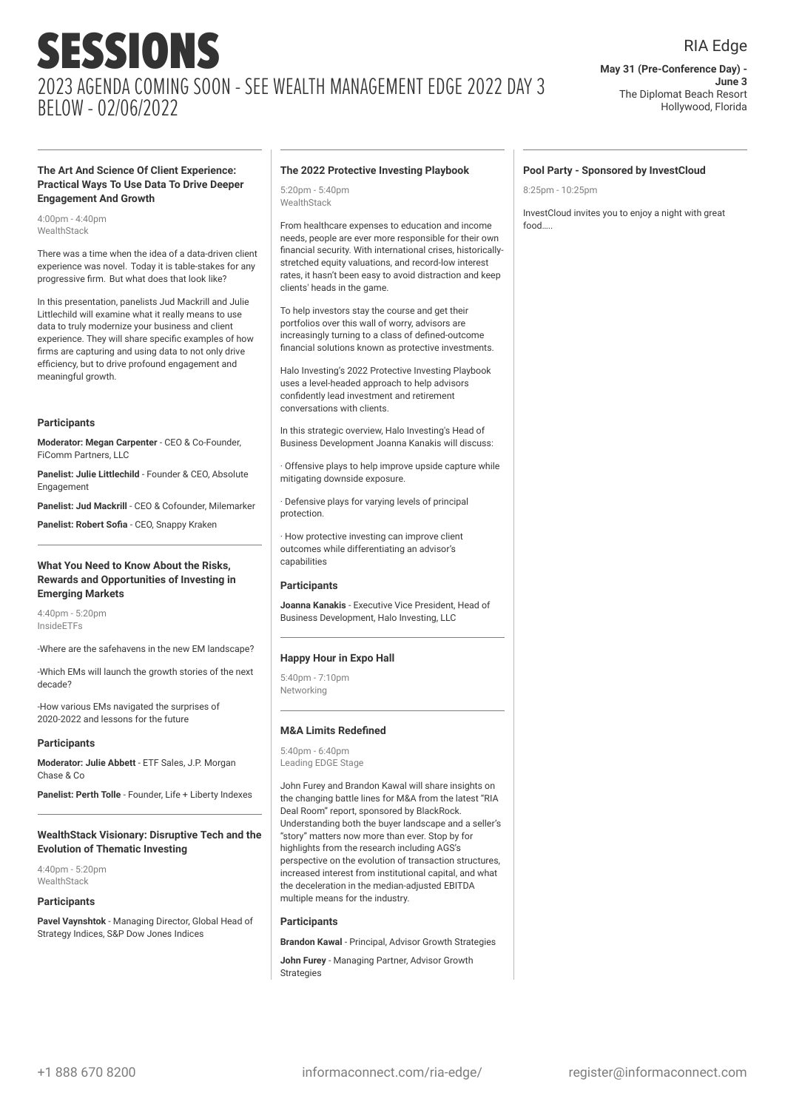#### RIA Edge

**May 31 (Pre-Conference Day) - June 3** The Diplomat Beach Resort Hollywood, Florida

**Pool Party - Sponsored by InvestCloud**

InvestCloud invites you to enjoy a night with great

8:25pm - 10:25pm

food…..

#### **The Art And Science Of Client Experience: Practical Ways To Use Data To Drive Deeper Engagement And Growth**

4:00pm - 4:40pm WealthStack

There was a time when the idea of a data-driven client experience was novel. Today it is table-stakes for any progressive firm. But what does that look like?

In this presentation, panelists Jud Mackrill and Julie Littlechild will examine what it really means to use data to truly modernize your business and client experience. They will share specific examples of how firms are capturing and using data to not only drive efficiency, but to drive profound engagement and meaningful growth.

#### **Participants**

**Moderator: Megan Carpenter** - CEO & Co-Founder, FiComm Partners, LLC

**Panelist: Julie Littlechild** - Founder & CEO, Absolute Engagement

**Panelist: Jud Mackrill** - CEO & Cofounder, Milemarker

**Panelist: Robert Sofia** - CEO, Snappy Kraken

#### **What You Need to Know About the Risks, Rewards and Opportunities of Investing in Emerging Markets**

4:40pm - 5:20pm InsideETFs

-Where are the safehavens in the new EM landscape?

-Which EMs will launch the growth stories of the next decade?

-How various EMs navigated the surprises of 2020-2022 and lessons for the future

#### **Participants**

**Moderator: Julie Abbett** - ETF Sales, J.P. Morgan Chase & Co

**Panelist: Perth Tolle** - Founder, Life + Liberty Indexes

#### **WealthStack Visionary: Disruptive Tech and the Evolution of Thematic Investing**

4:40pm - 5:20pm WealthStack

#### **Participants**

**Pavel Vaynshtok** - Managing Director, Global Head of Strategy Indices, S&P Dow Jones Indices

#### **The 2022 Protective Investing Playbook**

5:20pm - 5:40pm WealthStack

From healthcare expenses to education and income needs, people are ever more responsible for their own financial security. With international crises, historicallystretched equity valuations, and record-low interest rates, it hasn't been easy to avoid distraction and keep clients' heads in the game.

To help investors stay the course and get their portfolios over this wall of worry, advisors are increasingly turning to a class of defined-outcome financial solutions known as protective investments.

Halo Investing's 2022 Protective Investing Playbook uses a level-headed approach to help advisors confidently lead investment and retirement conversations with clients.

In this strategic overview, Halo Investing's Head of Business Development Joanna Kanakis will discuss:

· Offensive plays to help improve upside capture while mitigating downside exposure.

· Defensive plays for varying levels of principal protection.

· How protective investing can improve client outcomes while differentiating an advisor's capabilities

#### **Participants**

**Joanna Kanakis** - Executive Vice President, Head of Business Development, Halo Investing, LLC

#### **Happy Hour in Expo Hall**

5:40pm - 7:10pm Networking

#### **M&A Limits Redefined**

5:40pm - 6:40pm Leading EDGE Stage

John Furey and Brandon Kawal will share insights on the changing battle lines for M&A from the latest "RIA Deal Room" report, sponsored by BlackRock. Understanding both the buyer landscape and a seller's "story" matters now more than ever. Stop by for highlights from the research including AGS's perspective on the evolution of transaction structures, increased interest from institutional capital, and what the deceleration in the median-adjusted EBITDA multiple means for the industry.

#### **Participants**

**Brandon Kawal** - Principal, Advisor Growth Strategies

**John Furey** - Managing Partner, Advisor Growth Strategies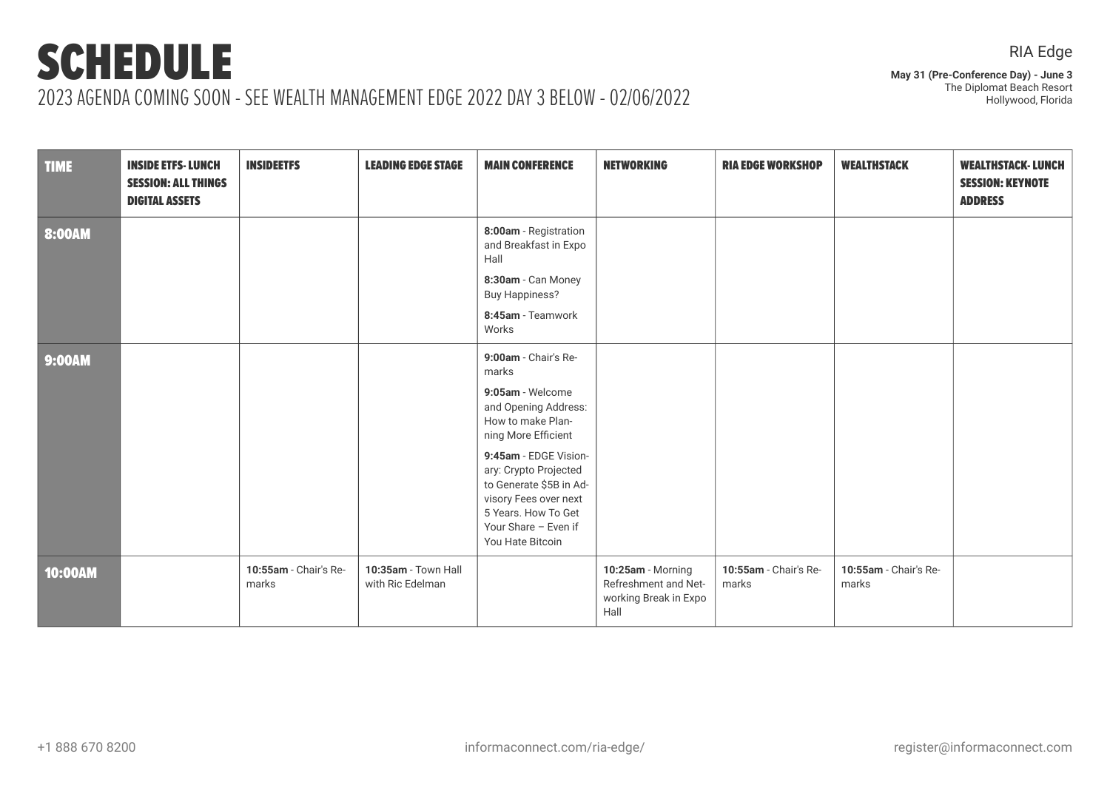**May 31 (Pre-Conference Day) - June 3** The Diplomat Beach Resort Hollywood, Florida

| <b>TIME</b>   | <b>INSIDE ETFS-LUNCH</b><br><b>SESSION: ALL THINGS</b><br><b>DIGITAL ASSETS</b> | <b>INSIDEETFS</b>              | <b>LEADING EDGE STAGE</b>               | <b>MAIN CONFERENCE</b>                                                                                                                                                  | <b>NETWORKING</b>                                                          | <b>RIA EDGE WORKSHOP</b>       | <b>WEALTHSTACK</b>             | <b>WEALTHSTACK-LUNCH</b><br><b>SESSION: KEYNOTE</b><br><b>ADDRESS</b> |
|---------------|---------------------------------------------------------------------------------|--------------------------------|-----------------------------------------|-------------------------------------------------------------------------------------------------------------------------------------------------------------------------|----------------------------------------------------------------------------|--------------------------------|--------------------------------|-----------------------------------------------------------------------|
| 8:00AM        |                                                                                 |                                |                                         | 8:00am - Registration<br>and Breakfast in Expo<br>Hall<br>8:30am - Can Money<br><b>Buy Happiness?</b><br>8:45am - Teamwork<br>Works                                     |                                                                            |                                |                                |                                                                       |
| <b>9:00AM</b> |                                                                                 |                                |                                         | 9:00am - Chair's Re-<br>marks<br>9:05am - Welcome<br>and Opening Address:<br>How to make Plan-<br>ning More Efficient<br>9:45am - EDGE Vision-<br>ary: Crypto Projected |                                                                            |                                |                                |                                                                       |
|               |                                                                                 |                                |                                         | to Generate \$5B in Ad-<br>visory Fees over next<br>5 Years. How To Get<br>Your Share - Even if<br>You Hate Bitcoin                                                     |                                                                            |                                |                                |                                                                       |
| 10:00AM       |                                                                                 | 10:55am - Chair's Re-<br>marks | 10:35am - Town Hall<br>with Ric Edelman |                                                                                                                                                                         | 10:25am - Morning<br>Refreshment and Net-<br>working Break in Expo<br>Hall | 10:55am - Chair's Re-<br>marks | 10:55am - Chair's Re-<br>marks |                                                                       |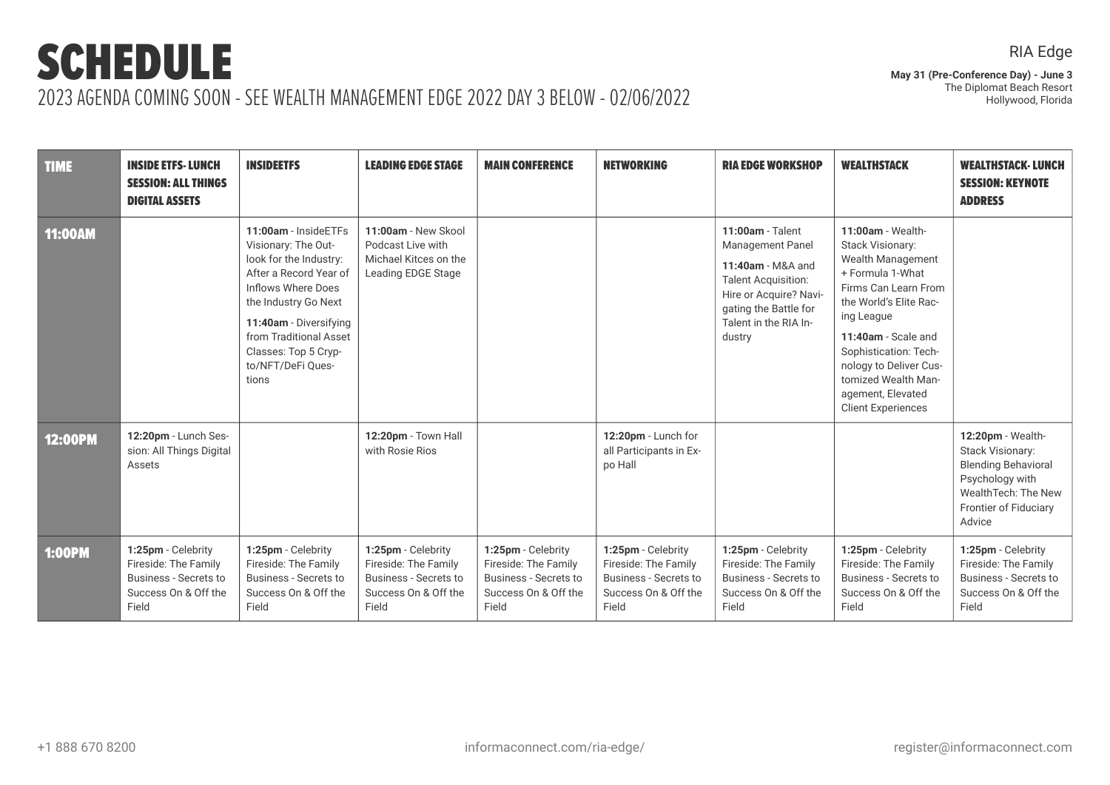**May 31 (Pre-Conference Day) - June 3** The Diplomat Beach Resort Hollywood, Florida

| <b>TIME</b>    | <b>INSIDE ETFS-LUNCH</b><br><b>SESSION: ALL THINGS</b><br><b>DIGITAL ASSETS</b>                             | <b>INSIDEETFS</b>                                                                                                                                                                                                                                       | <b>LEADING EDGE STAGE</b>                                                                                   | <b>MAIN CONFERENCE</b>                                                                                      | <b>NETWORKING</b>                                                                                           | <b>RIA EDGE WORKSHOP</b>                                                                                                                                                             | <b>WEALTHSTACK</b>                                                                                                                                                                                                                                                                                              | <b>WEALTHSTACK-LUNCH</b><br><b>SESSION: KEYNOTE</b><br><b>ADDRESS</b>                                                                            |
|----------------|-------------------------------------------------------------------------------------------------------------|---------------------------------------------------------------------------------------------------------------------------------------------------------------------------------------------------------------------------------------------------------|-------------------------------------------------------------------------------------------------------------|-------------------------------------------------------------------------------------------------------------|-------------------------------------------------------------------------------------------------------------|--------------------------------------------------------------------------------------------------------------------------------------------------------------------------------------|-----------------------------------------------------------------------------------------------------------------------------------------------------------------------------------------------------------------------------------------------------------------------------------------------------------------|--------------------------------------------------------------------------------------------------------------------------------------------------|
| <b>11:00AM</b> |                                                                                                             | 11:00am - InsideETFs<br>Visionary: The Out-<br>look for the Industry:<br>After a Record Year of<br>Inflows Where Does<br>the Industry Go Next<br>11:40am - Diversifying<br>from Traditional Asset<br>Classes: Top 5 Cryp-<br>to/NFT/DeFi Ques-<br>tions | 11:00am - New Skool<br>Podcast Live with<br>Michael Kitces on the<br>Leading EDGE Stage                     |                                                                                                             |                                                                                                             | 11:00am - Talent<br><b>Management Panel</b><br>11:40am - M&A and<br><b>Talent Acquisition:</b><br>Hire or Acquire? Navi-<br>gating the Battle for<br>Talent in the RIA In-<br>dustry | 11:00am - Wealth-<br><b>Stack Visionary:</b><br><b>Wealth Management</b><br>+ Formula 1-What<br>Firms Can Learn From<br>the World's Elite Rac-<br>ing League<br>11:40am - Scale and<br>Sophistication: Tech-<br>nology to Deliver Cus-<br>tomized Wealth Man-<br>agement, Elevated<br><b>Client Experiences</b> |                                                                                                                                                  |
| <b>12:00PM</b> | 12:20pm - Lunch Ses-<br>sion: All Things Digital<br>Assets                                                  |                                                                                                                                                                                                                                                         | 12:20pm - Town Hall<br>with Rosie Rios                                                                      |                                                                                                             | 12:20pm - Lunch for<br>all Participants in Ex-<br>po Hall                                                   |                                                                                                                                                                                      |                                                                                                                                                                                                                                                                                                                 | 12:20pm - Wealth-<br>Stack Visionary:<br><b>Blending Behavioral</b><br>Psychology with<br>WealthTech: The New<br>Frontier of Fiduciary<br>Advice |
| <b>1:00PM</b>  | 1:25pm - Celebrity<br>Fireside: The Family<br><b>Business - Secrets to</b><br>Success On & Off the<br>Field | 1:25pm - Celebrity<br>Fireside: The Family<br><b>Business - Secrets to</b><br>Success On & Off the<br>Field                                                                                                                                             | 1:25pm - Celebrity<br>Fireside: The Family<br><b>Business - Secrets to</b><br>Success On & Off the<br>Field | 1:25pm - Celebrity<br>Fireside: The Family<br><b>Business - Secrets to</b><br>Success On & Off the<br>Field | 1:25pm - Celebrity<br>Fireside: The Family<br><b>Business - Secrets to</b><br>Success On & Off the<br>Field | 1:25pm - Celebrity<br>Fireside: The Family<br><b>Business - Secrets to</b><br>Success On & Off the<br>Field                                                                          | 1:25pm - Celebrity<br>Fireside: The Family<br><b>Business - Secrets to</b><br>Success On & Off the<br>Field                                                                                                                                                                                                     | 1:25pm - Celebrity<br>Fireside: The Family<br><b>Business - Secrets to</b><br>Success On & Off the<br>Field                                      |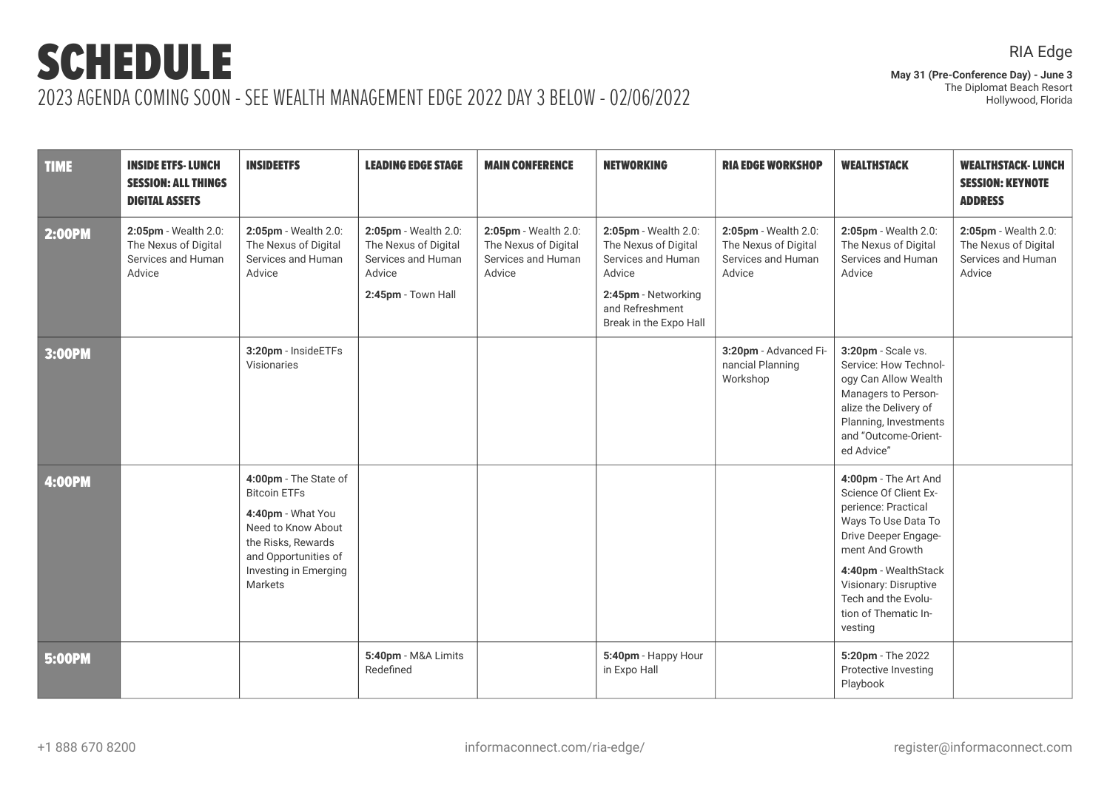RIA Edge

| <b>TIME</b>   | <b>INSIDE ETFS-LUNCH</b><br><b>SESSION: ALL THINGS</b><br><b>DIGITAL ASSETS</b> | <b>INSIDEETFS</b>                                                                                                                                                         | <b>LEADING EDGE STAGE</b>                                                                          | <b>MAIN CONFERENCE</b>                                                       | <b>NETWORKING</b>                                                                                                                                | <b>RIA EDGE WORKSHOP</b>                                                     | <b>WEALTHSTACK</b>                                                                                                                                                                                                                                | <b>WEALTHSTACK-LUNCH</b><br><b>SESSION: KEYNOTE</b><br><b>ADDRESS</b>        |
|---------------|---------------------------------------------------------------------------------|---------------------------------------------------------------------------------------------------------------------------------------------------------------------------|----------------------------------------------------------------------------------------------------|------------------------------------------------------------------------------|--------------------------------------------------------------------------------------------------------------------------------------------------|------------------------------------------------------------------------------|---------------------------------------------------------------------------------------------------------------------------------------------------------------------------------------------------------------------------------------------------|------------------------------------------------------------------------------|
| 2:00PM        | 2:05pm - Wealth 2.0:<br>The Nexus of Digital<br>Services and Human<br>Advice    | 2:05pm - Wealth 2.0:<br>The Nexus of Digital<br>Services and Human<br>Advice                                                                                              | 2:05pm - Wealth 2.0:<br>The Nexus of Digital<br>Services and Human<br>Advice<br>2:45pm - Town Hall | 2:05pm - Wealth 2.0:<br>The Nexus of Digital<br>Services and Human<br>Advice | 2:05pm - Wealth 2.0:<br>The Nexus of Digital<br>Services and Human<br>Advice<br>2:45pm - Networking<br>and Refreshment<br>Break in the Expo Hall | 2:05pm - Wealth 2.0:<br>The Nexus of Digital<br>Services and Human<br>Advice | 2:05pm - Wealth 2.0:<br>The Nexus of Digital<br>Services and Human<br>Advice                                                                                                                                                                      | 2:05pm - Wealth 2.0:<br>The Nexus of Digital<br>Services and Human<br>Advice |
| 3:00PM        |                                                                                 | 3:20pm - InsideETFs<br>Visionaries                                                                                                                                        |                                                                                                    |                                                                              |                                                                                                                                                  | 3:20pm - Advanced Fi-<br>nancial Planning<br>Workshop                        | 3:20pm - Scale vs.<br>Service: How Technol-<br>ogy Can Allow Wealth<br>Managers to Person-<br>alize the Delivery of<br>Planning, Investments<br>and "Outcome-Orient-<br>ed Advice"                                                                |                                                                              |
| <b>4:00PM</b> |                                                                                 | 4:00pm - The State of<br><b>Bitcoin ETFs</b><br>4:40pm - What You<br>Need to Know About<br>the Risks, Rewards<br>and Opportunities of<br>Investing in Emerging<br>Markets |                                                                                                    |                                                                              |                                                                                                                                                  |                                                                              | 4:00pm - The Art And<br>Science Of Client Ex-<br>perience: Practical<br>Ways To Use Data To<br>Drive Deeper Engage-<br>ment And Growth<br>4:40pm - WealthStack<br>Visionary: Disruptive<br>Tech and the Evolu-<br>tion of Thematic In-<br>vesting |                                                                              |
| <b>5:00PM</b> |                                                                                 |                                                                                                                                                                           | 5:40pm - M&A Limits<br>Redefined                                                                   |                                                                              | 5:40pm - Happy Hour<br>in Expo Hall                                                                                                              |                                                                              | 5:20pm - The 2022<br>Protective Investing<br>Playbook                                                                                                                                                                                             |                                                                              |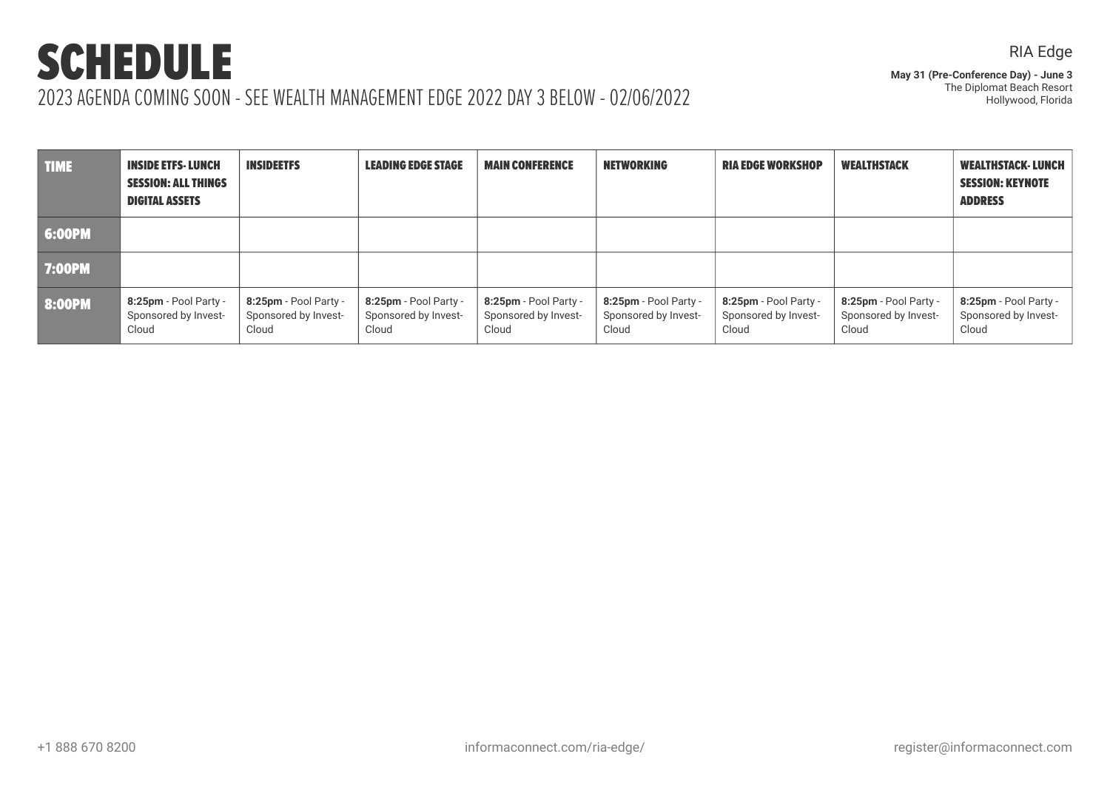RIA Edge

| <b>TIME</b>   | <b>INSIDE ETFS- LUNCH</b><br><b>SESSION: ALL THINGS</b><br><b>DIGITAL ASSETS</b> | <b>INSIDEETFS</b>                                      | <b>LEADING EDGE STAGE</b>                                 | <b>MAIN CONFERENCE</b>                                 | <b>NETWORKING</b>                                      | <b>RIA EDGE WORKSHOP</b>                               | <b>WEALTHSTACK</b>                                     | <b>WEALTHSTACK-LUNCH</b><br><b>SESSION: KEYNOTE</b><br><b>ADDRESS</b> |
|---------------|----------------------------------------------------------------------------------|--------------------------------------------------------|-----------------------------------------------------------|--------------------------------------------------------|--------------------------------------------------------|--------------------------------------------------------|--------------------------------------------------------|-----------------------------------------------------------------------|
| 6:00PM        |                                                                                  |                                                        |                                                           |                                                        |                                                        |                                                        |                                                        |                                                                       |
| <b>7:00PM</b> |                                                                                  |                                                        |                                                           |                                                        |                                                        |                                                        |                                                        |                                                                       |
| 8:00PM        | $8:25$ pm - Pool Party -<br>Sponsored by Invest-<br>Cloud                        | 8:25pm - Pool Party -<br>Sponsored by Invest-<br>Cloud | $8:25$ pm - Pool Party -<br>Sponsored by Invest-<br>Cloud | 8:25pm - Pool Party -<br>Sponsored by Invest-<br>Cloud | 8:25pm - Pool Party -<br>Sponsored by Invest-<br>Cloud | 8:25pm - Pool Party -<br>Sponsored by Invest-<br>Cloud | 8:25pm - Pool Party -<br>Sponsored by Invest-<br>Cloud | 8:25pm - Pool Party -<br>Sponsored by Invest-<br>Cloud                |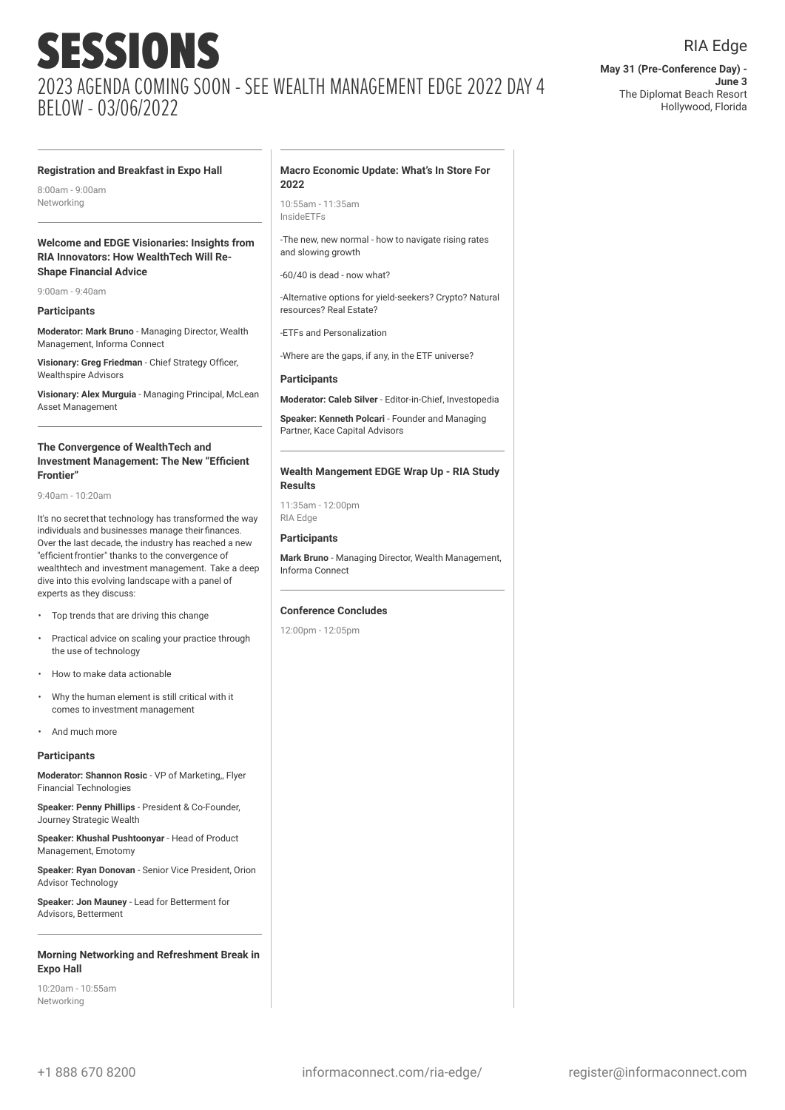**May 31 (Pre-Conference Day) - June 3** The Diplomat Beach Resort Hollywood, Florida

RIA Edge

#### **Registration and Breakfast in Expo Hall**

8:00am - 9:00am Networking

#### **Welcome and EDGE Visionaries: Insights from RIA Innovators: How WealthTech Will Re-Shape Financial Advice**

9:00am - 9:40am

#### **Participants**

**Moderator: Mark Bruno** - Managing Director, Wealth Management, Informa Connect

**Visionary: Greg Friedman** - Chief Strategy Officer, Wealthspire Advisors

**Visionary: Alex Murguia** - Managing Principal, McLean Asset Management

#### **The Convergence of WealthTech and Investment Management: The New "Efficient Frontier"**

9:40am - 10:20am

It's no secretthat technology has transformed the way individuals and businesses manage theirfinances. Over the last decade, the industry has reached a new "efficient frontier" thanks to the convergence of wealthtech and investment management. Take a deep dive into this evolving landscape with a panel of experts as they discuss:

- Top trends that are driving this change
- Practical advice on scaling your practice through the use of technology
- How to make data actionable
- Why the human element is still critical with it comes to investment management
- And much more

#### **Participants**

**Moderator: Shannon Rosic** - VP of Marketing,, Flyer Financial Technologies

**Speaker: Penny Phillips** - President & Co-Founder, Journey Strategic Wealth

**Speaker: Khushal Pushtoonyar** - Head of Product Management, Emotomy

**Speaker: Ryan Donovan** - Senior Vice President, Orion Advisor Technology

**Speaker: Jon Mauney** - Lead for Betterment for Advisors, Betterment

#### **Morning Networking and Refreshment Break in Expo Hall**

10:20am - 10:55am Networking

#### **Macro Economic Update: What's In Store For 2022**

10:55am - 11:35am InsideETFs

-The new, new normal - how to navigate rising rates and slowing growth

-60/40 is dead - now what?

-Alternative options for yield-seekers? Crypto? Natural resources? Real Estate?

-ETFs and Personalization

-Where are the gaps, if any, in the ETF universe?

#### **Participants**

**Moderator: Caleb Silver** - Editor-in-Chief, Investopedia

**Speaker: Kenneth Polcari** - Founder and Managing Partner, Kace Capital Advisors

#### **Wealth Mangement EDGE Wrap Up - RIA Study Results**

11:35am - 12:00pm RIA Edge

#### **Participants**

**Mark Bruno** - Managing Director, Wealth Management, Informa Connect

#### **Conference Concludes**

12:00pm - 12:05pm